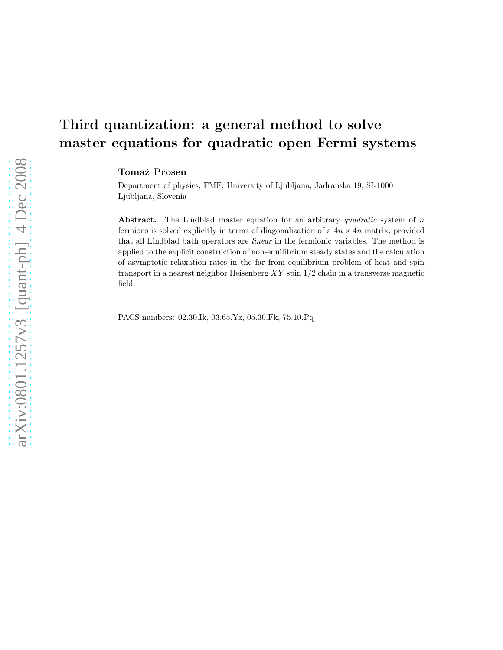# Third quantization: a general method to solve master equations for quadratic open Fermi systems

Tomaž Prosen

Department of physics, FMF, University of Ljubljana, Jadranska 19, SI-1000 Ljubljana, Slovenia

Abstract. The Lindblad master equation for an arbitrary *quadratic* system of n fermions is solved explicitly in terms of diagonalization of a  $4n \times 4n$  matrix, provided that all Lindblad bath operators are *linear* in the fermionic variables. The method is applied to the explicit construction of non-equilibrium steady states and the calculation of asymptotic relaxation rates in the far from equilibrium problem of heat and spin transport in a nearest neighbor Heisenberg  $XY$  spin  $1/2$  chain in a transverse magnetic field.

PACS numbers: 02.30.Ik, 03.65.Yz, 05.30.Fk, 75.10.Pq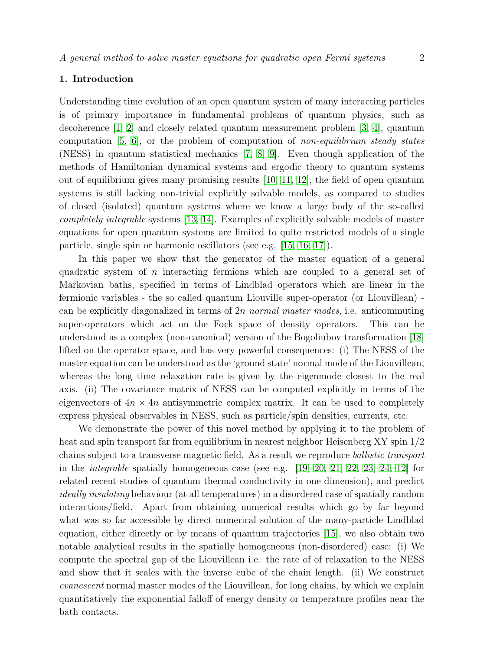# 1. Introduction

Understanding time evolution of an open quantum system of many interacting particles is of primary importance in fundamental problems of quantum physics, such as decoherence [\[1,](#page-22-0) [2\]](#page-22-1) and closely related quantum measurement problem [\[3,](#page-22-2) [4\]](#page-22-3), quantum computation  $[5, 6]$  $[5, 6]$ , or the problem of computation of non-equilibrium steady states (NESS) in quantum statistical mechanics [\[7,](#page-22-6) [8,](#page-22-7) [9\]](#page-22-8). Even though application of the methods of Hamiltonian dynamical systems and ergodic theory to quantum systems out of equilibrium gives many promising results [\[10,](#page-22-9) [11,](#page-22-10) [12\]](#page-22-11), the field of open quantum systems is still lacking non-trivial explicitly solvable models, as compared to studies of closed (isolated) quantum systems where we know a large body of the so-called completely integrable systems [\[13,](#page-22-12) [14\]](#page-22-13). Examples of explicitly solvable models of master equations for open quantum systems are limited to quite restricted models of a single particle, single spin or harmonic oscillators (see e.g. [\[15,](#page-22-14) [16,](#page-22-15) [17\]](#page-22-16)).

In this paper we show that the generator of the master equation of a general quadratic system of n interacting fermions which are coupled to a general set of Markovian baths, specified in terms of Lindblad operators which are linear in the fermionic variables - the so called quantum Liouville super-operator (or Liouvillean) can be explicitly diagonalized in terms of 2n normal master modes, i.e. anticommuting super-operators which act on the Fock space of density operators. This can be understood as a complex (non-canonical) version of the Bogoliubov transformation [\[18\]](#page-22-17) lifted on the operator space, and has very powerful consequences: (i) The NESS of the master equation can be understood as the 'ground state' normal mode of the Liouvillean, whereas the long time relaxation rate is given by the eigenmode closest to the real axis. (ii) The covariance matrix of NESS can be computed explicitly in terms of the eigenvectors of  $4n \times 4n$  antisymmetric complex matrix. It can be used to completely express physical observables in NESS, such as particle/spin densities, currents, etc.

We demonstrate the power of this novel method by applying it to the problem of heat and spin transport far from equilibrium in nearest neighbor Heisenberg XY spin 1/2 chains subject to a transverse magnetic field. As a result we reproduce ballistic transport in the *integrable* spatially homogeneous case (see e.g.  $[19, 20, 21, 22, 23, 24, 12]$  $[19, 20, 21, 22, 23, 24, 12]$  $[19, 20, 21, 22, 23, 24, 12]$  $[19, 20, 21, 22, 23, 24, 12]$  $[19, 20, 21, 22, 23, 24, 12]$  $[19, 20, 21, 22, 23, 24, 12]$  $[19, 20, 21, 22, 23, 24, 12]$  for related recent studies of quantum thermal conductivity in one dimension), and predict ideally insulating behaviour (at all temperatures) in a disordered case of spatially random interactions/field. Apart from obtaining numerical results which go by far beyond what was so far accessible by direct numerical solution of the many-particle Lindblad equation, either directly or by means of quantum trajectories [\[15\]](#page-22-14), we also obtain two notable analytical results in the spatially homogeneous (non-disordered) case: (i) We compute the spectral gap of the Liouvillean i.e. the rate of of relaxation to the NESS and show that it scales with the inverse cube of the chain length. (ii) We construct evanescent normal master modes of the Liouvillean, for long chains, by which we explain quantitatively the exponential falloff of energy density or temperature profiles near the bath contacts.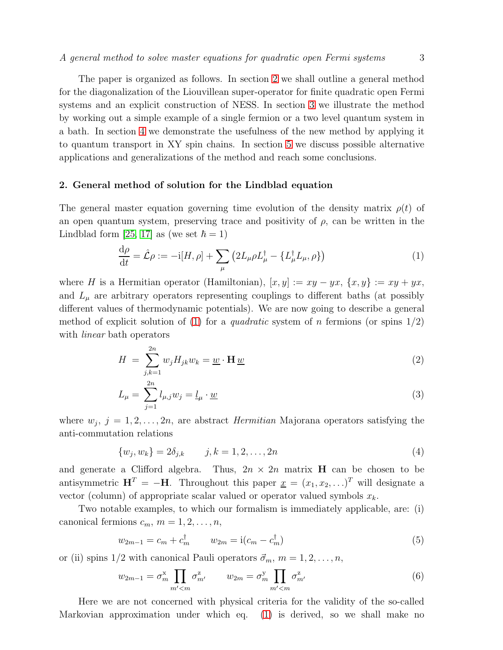The paper is organized as follows. In section [2](#page-2-0) we shall outline a general method for the diagonalization of the Liouvillean super-operator for finite quadratic open Fermi systems and an explicit construction of NESS. In section [3](#page-9-0) we illustrate the method by working out a simple example of a single fermion or a two level quantum system in a bath. In section [4](#page-10-0) we demonstrate the usefulness of the new method by applying it to quantum transport in XY spin chains. In section [5](#page-21-0) we discuss possible alternative applications and generalizations of the method and reach some conclusions.

# <span id="page-2-0"></span>2. General method of solution for the Lindblad equation

The general master equation governing time evolution of the density matrix  $\rho(t)$  of an open quantum system, preserving trace and positivity of  $\rho$ , can be written in the Lindblad form [\[25,](#page-23-5) [17\]](#page-22-16) as (we set  $\hbar = 1$ )

<span id="page-2-1"></span>
$$
\frac{\mathrm{d}\rho}{\mathrm{d}t} = \hat{\mathcal{L}}\rho := -\mathrm{i}[H,\rho] + \sum_{\mu} \left( 2L_{\mu}\rho L_{\mu}^{\dagger} - \{L_{\mu}^{\dagger}L_{\mu},\rho\} \right) \tag{1}
$$

where H is a Hermitian operator (Hamiltonian),  $[x, y] := xy - yx$ ,  $\{x, y\} := xy + yx$ , and  $L_{\mu}$  are arbitrary operators representing couplings to different baths (at possibly different values of thermodynamic potentials). We are now going to describe a general method of explicit solution of [\(1\)](#page-2-1) for a *quadratic* system of n fermions (or spins  $1/2$ ) with *linear* bath operators

<span id="page-2-2"></span>
$$
H = \sum_{j,k=1}^{2n} w_j H_{jk} w_k = \underline{w} \cdot \mathbf{H} \underline{w}
$$
 (2)

$$
L_{\mu} = \sum_{j=1}^{2n} l_{\mu,j} w_j = \underline{l}_{\mu} \cdot \underline{w} \tag{3}
$$

where  $w_j$ ,  $j = 1, 2, \ldots, 2n$ , are abstract *Hermitian* Majorana operators satisfying the anti-commutation relations

$$
\{w_j, w_k\} = 2\delta_{j,k} \qquad j,k = 1,2,\ldots, 2n \tag{4}
$$

and generate a Clifford algebra. Thus,  $2n \times 2n$  matrix **H** can be chosen to be antisymmetric  $\mathbf{H}^T = -\mathbf{H}$ . Throughout this paper  $\underline{x} = (x_1, x_2, \ldots)^T$  will designate a vector (column) of appropriate scalar valued or operator valued symbols  $x_k$ .

Two notable examples, to which our formalism is immediately applicable, are: (i) canonical fermions  $c_m$ ,  $m = 1, 2, \ldots, n$ ,

<span id="page-2-3"></span>
$$
w_{2m-1} = c_m + c_m^{\dagger} \qquad w_{2m} = \mathbf{i}(c_m - c_m^{\dagger}) \tag{5}
$$

or (ii) spins  $1/2$  with canonical Pauli operators  $\vec{\sigma}_m, m = 1, 2, \ldots, n$ ,

<span id="page-2-4"></span>
$$
w_{2m-1} = \sigma_m^{\mathbf{x}} \prod_{m' < m} \sigma_{m'}^{\mathbf{z}} \qquad w_{2m} = \sigma_m^{\mathbf{y}} \prod_{m' < m} \sigma_{m'}^{\mathbf{z}} \tag{6}
$$

Here we are not concerned with physical criteria for the validity of the so-called Markovian approximation under which eq. [\(1\)](#page-2-1) is derived, so we shall make no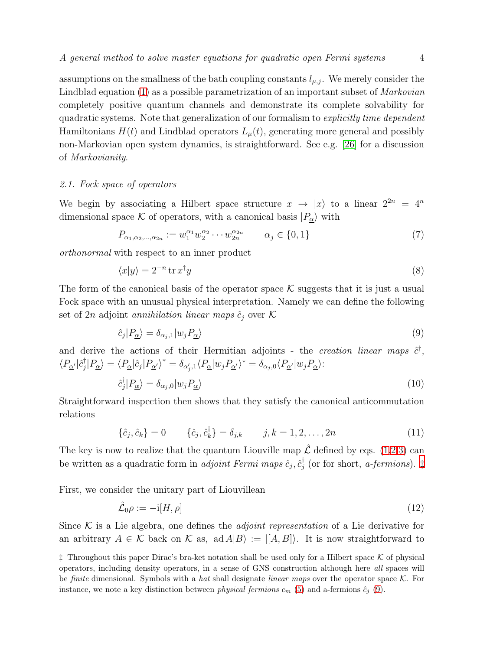assumptions on the smallness of the bath coupling constants  $l_{\mu,j}$ . We merely consider the Lindblad equation [\(1\)](#page-2-1) as a possible parametrization of an important subset of *Markovian* completely positive quantum channels and demonstrate its complete solvability for quadratic systems. Note that generalization of our formalism to *explicitly time dependent* Hamiltonians  $H(t)$  and Lindblad operators  $L_{\mu}(t)$ , generating more general and possibly non-Markovian open system dynamics, is straightforward. See e.g. [\[26\]](#page-23-6) for a discussion of Markovianity.

#### 2.1. Fock space of operators

We begin by associating a Hilbert space structure  $x \to |x\rangle$  to a linear  $2^{2n} = 4^n$ dimensional space K of operators, with a canonical basis  $|P_{\alpha}\rangle$  with

$$
P_{\alpha_1, \alpha_2, \dots, \alpha_{2n}} := w_1^{\alpha_1} w_2^{\alpha_2} \cdots w_{2n}^{\alpha_{2n}} \qquad \alpha_j \in \{0, 1\}
$$
\n
$$
(7)
$$

orthonormal with respect to an inner product

$$
\langle x|y\rangle = 2^{-n}\operatorname{tr} x^{\dagger}y\tag{8}
$$

The form of the canonical basis of the operator space  $\mathcal K$  suggests that it is just a usual Fock space with an unusual physical interpretation. Namely we can define the following set of 2n adjoint annihilation linear maps  $\hat{c}_j$  over K

<span id="page-3-1"></span>
$$
\hat{c}_j|P_{\underline{\alpha}}\rangle = \delta_{\alpha_j,1}|w_j P_{\underline{\alpha}}\rangle\tag{9}
$$

and derive the actions of their Hermitian adjoints - the *creation linear maps*  $\hat{c}^{\dagger}$ ,  $\langle P_{\underline{\alpha}'}|\hat{c}_j^\dagger$  $\langle \phi_j | P_{\underline{\alpha}} \rangle = \langle P_{\underline{\alpha}} | \hat{c}_j | P_{\underline{\alpha'}} \rangle^* = \delta_{\alpha'_j,1} \langle P_{\underline{\alpha}} | w_j P_{\underline{\alpha'}} \rangle^* = \delta_{\alpha_j,0} \langle P_{\underline{\alpha'}} | w_j P_{\underline{\alpha}} \rangle$ 

$$
\hat{c}_j^{\dagger} | P_{\underline{\alpha}} \rangle = \delta_{\alpha_j,0} |w_j P_{\underline{\alpha}} \rangle \tag{10}
$$

Straightforward inspection then shows that they satisfy the canonical anticommutation relations

$$
\{\hat{c}_j, \hat{c}_k\} = 0 \qquad \{\hat{c}_j, \hat{c}_k^{\dagger}\} = \delta_{j,k} \qquad j, k = 1, 2, \dots, 2n \tag{11}
$$

The key is now to realize that the quantum Liouville map  $\hat{\mathcal{L}}$  defined by eqs. [\(1,](#page-2-1)[2,3\)](#page-2-2) can be written as a quadratic form in *adjoint Fermi maps*  $\hat{c}_j$ ,  $\hat{c}_j^{\dagger}$  $j$  (or for short, *a-fermions*).  $\ddagger$ 

First, we consider the unitary part of Liouvillean

<span id="page-3-2"></span>
$$
\hat{\mathcal{L}}_0 \rho := -\mathrm{i}[H, \rho] \tag{12}
$$

Since K is a Lie algebra, one defines the *adjoint representation* of a Lie derivative for an arbitrary  $A \in \mathcal{K}$  back on  $\mathcal{K}$  as, ad  $A|B\rangle := |[A, B]\rangle$ . It is now straightforward to

<span id="page-3-0"></span> $\ddagger$  Throughout this paper Dirac's bra-ket notation shall be used only for a Hilbert space K of physical operators, including density operators, in a sense of GNS construction although here *all* spaces will be *finite* dimensional. Symbols with a *hat* shall designate *linear maps* over the operator space K. For instance, we note a key distinction between *physical fermions*  $c_m$  [\(5\)](#page-2-3) and a-fermions  $\hat{c}_j$  [\(9\)](#page-3-1).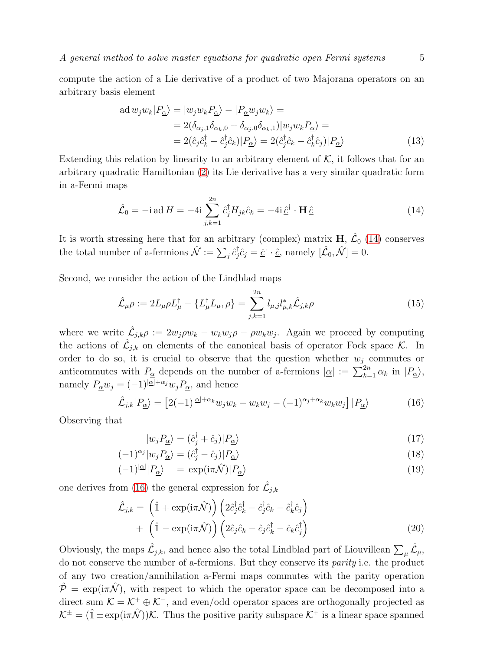A general method to solve master equations for quadratic open Fermi systems  $5$ 

compute the action of a Lie derivative of a product of two Majorana operators on an arbitrary basis element

$$
\text{ad}\,w_j w_k | P_{\underline{\alpha}} \rangle = |w_j w_k P_{\underline{\alpha}} \rangle - |P_{\underline{\alpha}} w_j w_k \rangle =
$$
\n
$$
= 2(\delta_{\alpha_j,1} \delta_{\alpha_k,0} + \delta_{\alpha_j,0} \delta_{\alpha_k,1}) |w_j w_k P_{\underline{\alpha}} \rangle =
$$
\n
$$
= 2(\hat{c}_j \hat{c}_k^{\dagger} + \hat{c}_j^{\dagger} \hat{c}_k) | P_{\underline{\alpha}} \rangle = 2(\hat{c}_j^{\dagger} \hat{c}_k - \hat{c}_k^{\dagger} \hat{c}_j) | P_{\underline{\alpha}} \rangle \tag{13}
$$

Extending this relation by linearity to an arbitrary element of  $K$ , it follows that for an arbitrary quadratic Hamiltonian [\(2\)](#page-2-2) its Lie derivative has a very similar quadratic form in a-Fermi maps

<span id="page-4-0"></span>
$$
\hat{\mathcal{L}}_0 = -\mathrm{i} \,\mathrm{ad} \, H = -4\mathrm{i} \sum_{j,k=1}^{2n} \hat{c}_j^{\dagger} H_{jk} \hat{c}_k = -4\mathrm{i} \,\hat{\underline{c}}^{\dagger} \cdot \mathbf{H} \,\hat{\underline{c}} \tag{14}
$$

It is worth stressing here that for an arbitrary (complex) matrix  $H, \hat{\mathcal{L}}_0$  [\(14\)](#page-4-0) conserves the total number of a-fermions  $\hat{\mathcal{N}} := \sum_j \hat{c}_j^{\dagger}$  $\dot{\hat{j}} \hat{c}_j = \hat{\underline{c}}^{\dagger} \cdot \hat{\underline{c}}$ , namely  $[\hat{\mathcal{L}}_0, \hat{\mathcal{N}}] = 0$ .

Second, we consider the action of the Lindblad maps

<span id="page-4-2"></span>
$$
\hat{\mathcal{L}}_{\mu}\rho := 2L_{\mu}\rho L_{\mu}^{\dagger} - \{L_{\mu}^{\dagger}L_{\mu}, \rho\} = \sum_{j,k=1}^{2n} l_{\mu,j}l_{\mu,k}^{*} \hat{\mathcal{L}}_{j,k}\rho
$$
\n(15)

where we write  $\hat{\mathcal{L}}_{j,k}\rho := 2w_j \rho w_k - w_k w_j \rho - \rho w_k w_j$ . Again we proceed by computing the actions of  $\hat{\mathcal{L}}_{j,k}$  on elements of the canonical basis of operator Fock space K. In order to do so, it is crucial to observe that the question whether  $w_j$  commutes or anticommutes with  $P_{\underline{\alpha}}$  depends on the number of a-fermions  $|\underline{\alpha}| := \sum_{k=1}^{2n} \alpha_k$  in  $|P_{\underline{\alpha}}\rangle$ , namely  $P_{\underline{\alpha}}w_j = (-1)^{|\underline{\alpha}| + \alpha_j} w_j P_{\underline{\alpha}}$ , and hence

<span id="page-4-1"></span>
$$
\hat{\mathcal{L}}_{j,k}|P_{\underline{\alpha}}\rangle = \left[2(-1)^{|\underline{\alpha}|+\alpha_k}w_jw_k - w_kw_j - (-1)^{\alpha_j+\alpha_k}w_kw_j\right]|P_{\underline{\alpha}}\rangle\tag{16}
$$

Observing that

$$
|w_j P_{\underline{\alpha}}\rangle = (\hat{c}_j^{\dagger} + \hat{c}_j)|P_{\underline{\alpha}}\rangle\tag{17}
$$

$$
(-1)^{\alpha_j} |w_j P_{\underline{\alpha}}\rangle = (\hat{c}_j^{\dagger} - \hat{c}_j)|P_{\underline{\alpha}}\rangle \tag{18}
$$

$$
(-1)^{|\alpha|} |P_{\underline{\alpha}}\rangle = \exp(i\pi \hat{\mathcal{N}})|P_{\underline{\alpha}}\rangle \tag{19}
$$

one derives from [\(16\)](#page-4-1) the general expression for  $\hat{\mathcal{L}}_{j,k}$ 

$$
\hat{\mathcal{L}}_{j,k} = \left(\hat{\mathbb{1}} + \exp(i\pi\hat{\mathcal{N}})\right) \left(2\hat{c}_j^{\dagger}\hat{c}_k^{\dagger} - \hat{c}_j^{\dagger}\hat{c}_k - \hat{c}_k^{\dagger}\hat{c}_j\right) \n+ \left(\hat{\mathbb{1}} - \exp(i\pi\hat{\mathcal{N}})\right) \left(2\hat{c}_j\hat{c}_k - \hat{c}_j\hat{c}_k^{\dagger} - \hat{c}_k\hat{c}_j^{\dagger}\right)
$$
\n(20)

Obviously, the maps  $\hat{\mathcal{L}}_{j,k}$ , and hence also the total Lindblad part of Liouvillean  $\sum_{\mu} \hat{\mathcal{L}}_{\mu}$ , do not conserve the number of a-fermions. But they conserve its parity i.e. the product of any two creation/annihilation a-Fermi maps commutes with the parity operation  $\hat{\mathcal{P}} = \exp(i\pi\hat{\mathcal{N}})$ , with respect to which the operator space can be decomposed into a direct sum  $\mathcal{K} = \mathcal{K}^+ \oplus \mathcal{K}^-$ , and even/odd operator spaces are orthogonally projected as  $\mathcal{K}^{\pm} = (\hat{\mathbb{1}} \pm \exp(i\pi \hat{\mathcal{N}}))\mathcal{K}$ . Thus the positive parity subspace  $\mathcal{K}^{\pm}$  is a linear space spanned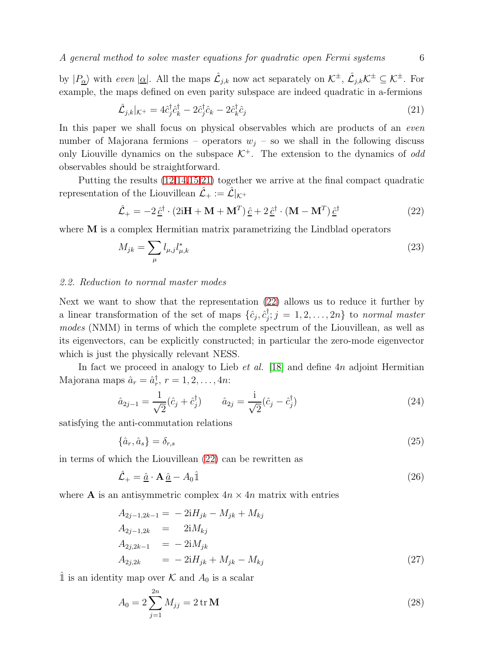by  $|P_{\underline{\alpha}}\rangle$  with even  $|\underline{\alpha}|$ . All the maps  $\hat{\mathcal{L}}_{j,k}$  now act separately on  $\mathcal{K}^{\pm}$ ,  $\hat{\mathcal{L}}_{j,k}\mathcal{K}^{\pm} \subseteq \mathcal{K}^{\pm}$ . For example, the maps defined on even parity subspace are indeed quadratic in a-fermions

<span id="page-5-0"></span>
$$
\hat{\mathcal{L}}_{j,k}|_{\mathcal{K}^+} = 4\hat{c}_j^{\dagger}\hat{c}_k^{\dagger} - 2\hat{c}_j^{\dagger}\hat{c}_k - 2\hat{c}_k^{\dagger}\hat{c}_j \tag{21}
$$

In this paper we shall focus on physical observables which are products of an *even* number of Majorana fermions – operators  $w_i$  – so we shall in the following discuss only Liouville dynamics on the subspace  $K^+$ . The extension to the dynamics of *odd* observables should be straightforward.

Putting the results [\(12,](#page-3-2)[14,](#page-4-0)[15,](#page-4-2)[21\)](#page-5-0) together we arrive at the final compact quadratic representation of the Liouvillean  $\hat{\mathcal{L}}_+ := \hat{\mathcal{L}}|_{\mathcal{K}^+}$ 

<span id="page-5-1"></span>
$$
\hat{\mathcal{L}}_{+} = -2 \hat{\underline{c}}^{\dagger} \cdot (2i\mathbf{H} + \mathbf{M} + \mathbf{M}^{T}) \hat{\underline{c}} + 2 \hat{\underline{c}}^{\dagger} \cdot (\mathbf{M} - \mathbf{M}^{T}) \hat{\underline{c}}^{\dagger}
$$
 (22)

where **M** is a complex Hermitian matrix parametrizing the Lindblad operators

$$
M_{jk} = \sum_{\mu} l_{\mu,j} l_{\mu,k}^* \tag{23}
$$

# 2.2. Reduction to normal master modes

Next we want to show that the representation [\(22\)](#page-5-1) allows us to reduce it further by a linear transformation of the set of maps  $\{\hat{c}_j, \hat{c}_j^{\dagger}\}$  $\mathcal{I}_j^{\dagger}$ ;  $j = 1, 2, \ldots, 2n$ } to normal master modes (NMM) in terms of which the complete spectrum of the Liouvillean, as well as its eigenvectors, can be explicitly constructed; in particular the zero-mode eigenvector which is just the physically relevant NESS.

In fact we proceed in analogy to Lieb *et al.* [\[18\]](#page-22-17) and define  $4n$  adjoint Hermitian Majorana maps  $\hat{a}_r = \hat{a}_r^{\dagger}, r = 1, 2, \dots, 4n$ :

<span id="page-5-5"></span>
$$
\hat{a}_{2j-1} = \frac{1}{\sqrt{2}} (\hat{c}_j + \hat{c}_j^{\dagger}) \qquad \hat{a}_{2j} = \frac{i}{\sqrt{2}} (\hat{c}_j - \hat{c}_j^{\dagger}) \tag{24}
$$

satisfying the anti-commutation relations

<span id="page-5-4"></span>
$$
\{\hat{a}_r, \hat{a}_s\} = \delta_{r,s} \tag{25}
$$

in terms of which the Liouvillean [\(22\)](#page-5-1) can be rewritten as

<span id="page-5-2"></span>
$$
\hat{\mathcal{L}}_{+} = \hat{\underline{a}} \cdot \mathbf{A} \, \hat{\underline{a}} - A_0 \hat{\mathbb{1}} \tag{26}
$$

where **A** is an antisymmetric complex  $4n \times 4n$  matrix with entries

<span id="page-5-3"></span>
$$
A_{2j-1,2k-1} = -2iH_{jk} - M_{jk} + M_{kj}
$$
  
\n
$$
A_{2j-1,2k} = 2iM_{kj}
$$
  
\n
$$
A_{2j,2k-1} = -2iM_{jk}
$$
  
\n
$$
A_{2j,2k} = -2iH_{jk} + M_{jk} - M_{kj}
$$
\n(27)

 $\hat{\mathbb{1}}$  is an identity map over K and  $A_0$  is a scalar

$$
A_0 = 2 \sum_{j=1}^{2n} M_{jj} = 2 \text{ tr } \mathbf{M}
$$
 (28)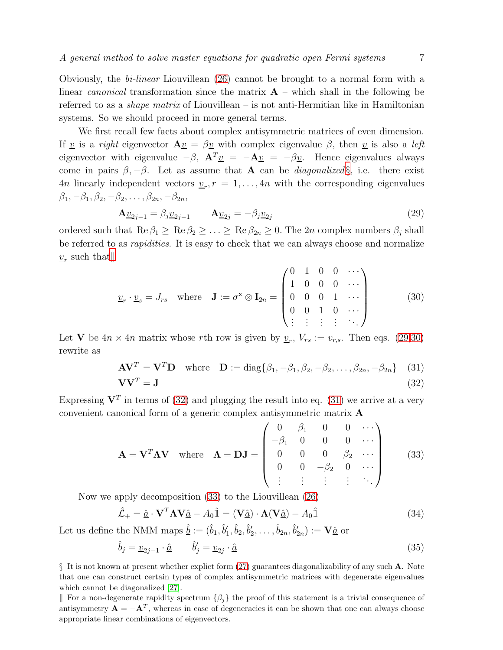Obviously, the bi-linear Liouvillean [\(26\)](#page-5-2) cannot be brought to a normal form with a linear *canonical* transformation since the matrix  $\bf{A}$  – which shall in the following be referred to as a *shape matrix* of Liouvillean – is not anti-Hermitian like in Hamiltonian systems. So we should proceed in more general terms.

We first recall few facts about complex antisymmetric matrices of even dimension. If <u>v</u> is a *right* eigenvector  $\mathbf{A}v = \beta v$  with complex eigenvalue  $\beta$ , then v is also a *left* eigenvector with eigenvalue  $-\beta$ ,  $\mathbf{A}^T \underline{v} = -\mathbf{A}\underline{v} = -\beta \underline{v}$ . Hence eigenvalues always come in pairs  $\beta, -\beta$ . Let as assume that **A** can be *diagonalized* [§](#page-6-0), i.e. there exist 4*n* linearly independent vectors  $\underline{v}_r$ ,  $r = 1, \ldots, 4n$  with the corresponding eigenvalues  $\beta_1, -\beta_1, \beta_2, -\beta_2, \ldots, \beta_{2n}, -\beta_{2n},$ 

<span id="page-6-2"></span>
$$
\mathbf{A}\underline{v}_{2j-1} = \beta_j \underline{v}_{2j-1} \qquad \mathbf{A}\underline{v}_{2j} = -\beta_j \underline{v}_{2j} \tag{29}
$$

ordered such that  $\text{Re }\beta_1 \geq \text{Re }\beta_2 \geq \ldots \geq \text{Re }\beta_{2n} \geq 0$ . The 2n complex numbers  $\beta_i$  shall be referred to as *rapidities*. It is easy to check that we can always choose and normalize  $v_r$  such that $\parallel$ 

<span id="page-6-3"></span>
$$
\underline{v}_r \cdot \underline{v}_s = J_{rs} \quad \text{where} \quad \mathbf{J} := \sigma^x \otimes \mathbf{I}_{2n} = \begin{pmatrix} 0 & 1 & 0 & 0 & \cdots \\ 1 & 0 & 0 & 0 & \cdots \\ 0 & 0 & 0 & 1 & \cdots \\ 0 & 0 & 1 & 0 & \cdots \\ \vdots & \vdots & \vdots & \vdots & \ddots \end{pmatrix} \tag{30}
$$

Let **V** be  $4n \times 4n$  matrix whose rth row is given by  $\underline{v}_r$ ,  $V_{rs} := v_{r,s}$ . Then eqs. [\(29,](#page-6-2)[30\)](#page-6-3) rewrite as

<span id="page-6-4"></span>
$$
\mathbf{A}\mathbf{V}^T = \mathbf{V}^T \mathbf{D} \quad \text{where} \quad \mathbf{D} := \text{diag}\{\beta_1, -\beta_1, \beta_2, -\beta_2, \dots, \beta_{2n}, -\beta_{2n}\} \quad (31)
$$

$$
\mathbf{V}\mathbf{V}^T = \mathbf{J} \tag{32}
$$

Expressing  $V^T$  in terms of [\(32\)](#page-6-4) and plugging the result into eq. [\(31\)](#page-6-4) we arrive at a very convenient canonical form of a generic complex antisymmetric matrix A

<span id="page-6-5"></span>
$$
\mathbf{A} = \mathbf{V}^T \mathbf{\Lambda} \mathbf{V} \quad \text{where} \quad \mathbf{\Lambda} = \mathbf{D} \mathbf{J} = \begin{pmatrix} 0 & \beta_1 & 0 & 0 & \cdots \\ -\beta_1 & 0 & 0 & 0 & \cdots \\ 0 & 0 & 0 & \beta_2 & \cdots \\ 0 & 0 & -\beta_2 & 0 & \cdots \\ \vdots & \vdots & \vdots & \vdots & \ddots \end{pmatrix} \tag{33}
$$

Now we apply decomposition [\(33\)](#page-6-5) to the Liouvillean [\(26\)](#page-5-2)

<span id="page-6-6"></span>
$$
\hat{\mathcal{L}}_{+} = \hat{\underline{a}} \cdot \mathbf{V}^T \mathbf{\Lambda} \mathbf{V} \hat{\underline{a}} - A_0 \hat{\mathbb{1}} = (\mathbf{V} \hat{\underline{a}}) \cdot \mathbf{\Lambda} (\mathbf{V} \hat{\underline{a}}) - A_0 \hat{\mathbb{1}} \tag{34}
$$

Let us define the NMM maps  $\underline{\hat{b}} := (\hat{b}_1, \hat{b}'_1, \hat{b}_2, \hat{b}'_2, \dots, \hat{b}_{2n}, \hat{b}'_{2n}) := \mathbf{V}\hat{\underline{a}}$  or

<span id="page-6-7"></span>
$$
\hat{b}_j = \underline{v}_{2j-1} \cdot \hat{\underline{a}} \qquad \hat{b}'_j = \underline{v}_{2j} \cdot \hat{\underline{a}} \tag{35}
$$

<span id="page-6-0"></span>§ It is not known at present whether explict form [\(27\)](#page-5-3) guarantees diagonalizability of any such A. Note that one can construct certain types of complex antisymmetric matrices with degenerate eigenvalues which cannot be diagonalized [\[27\]](#page-23-7).

<span id="page-6-1"></span>For a non-degenerate rapidity spectrum  ${\beta_i}$  the proof of this statement is a trivial consequence of antisymmetry  $\mathbf{A} = -\mathbf{A}^T$ , whereas in case of degeneracies it can be shown that one can always choose appropriate linear combinations of eigenvectors.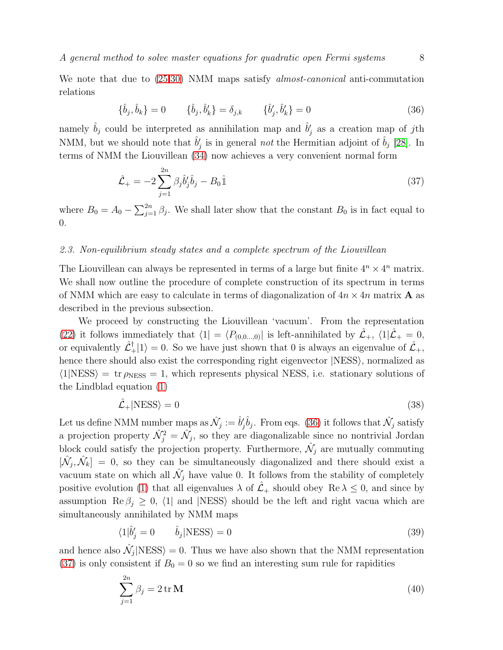We note that due to  $(25,30)$  $(25,30)$  NMM maps satisfy *almost-canonical* anti-commutation relations

<span id="page-7-0"></span>
$$
\{\hat{b}_j, \hat{b}_k\} = 0 \qquad \{\hat{b}_j, \hat{b}'_k\} = \delta_{j,k} \qquad \{\hat{b}'_j, \hat{b}'_k\} = 0 \tag{36}
$$

namely  $\hat{b}_j$  could be interpreted as annihilation map and  $\hat{b}'_j$  as a creation map of jth NMM, but we should note that  $\hat{b}'_j$  is in general *not* the Hermitian adjoint of  $\hat{b}_j$  [\[28\]](#page-23-8). In terms of NMM the Liouvillean [\(34\)](#page-6-6) now achieves a very convenient normal form

<span id="page-7-1"></span>
$$
\hat{\mathcal{L}}_{+} = -2 \sum_{j=1}^{2n} \beta_j \hat{b}'_j \hat{b}_j - B_0 \hat{\mathbb{I}} \tag{37}
$$

where  $B_0 = A_0 - \sum_{j=1}^{2n} \beta_j$ . We shall later show that the constant  $B_0$  is in fact equal to 0.

# 2.3. Non-equilibrium steady states and a complete spectrum of the Liouvillean

The Liouvillean can always be represented in terms of a large but finite  $4^n \times 4^n$  matrix. We shall now outline the procedure of complete construction of its spectrum in terms of NMM which are easy to calculate in terms of diagonalization of  $4n \times 4n$  matrix **A** as described in the previous subsection.

We proceed by constructing the Liouvillean 'vacuum'. From the representation [\(22\)](#page-5-1) it follows immediately that  $\langle 1| = \langle P_{(0,0...,0)}|$  is left-annihilated by  $\mathcal{\hat{L}}_+$ ,  $\langle 1|\mathcal{\hat{L}}_+ = 0$ , or equivalently  $\hat{\mathcal{L}}_+^{\dagger} |1\rangle = 0$ . So we have just shown that 0 is always an eigenvalue of  $\hat{\mathcal{L}}_+$ , hence there should also exist the corresponding right eigenvector  $|{\rm NESS}\rangle$ , normalized as  $\langle 1|{\rm NESS} \rangle = {\rm tr} \rho_{\rm NESS} = 1$ , which represents physical NESS, i.e. stationary solutions of the Lindblad equation [\(1\)](#page-2-1)

$$
\hat{\mathcal{L}}_{+}|\text{NESS}\rangle = 0\tag{38}
$$

Let us define NMM number maps as  $\hat{\mathcal{N}}_j := \hat{b}'_j \hat{b}_j$ . From eqs. [\(36\)](#page-7-0) it follows that  $\hat{\mathcal{N}}_j$  satisfy a projection property  $\hat{\mathcal{N}}_j^2 = \hat{\mathcal{N}}_j$ , so they are diagonalizable since no nontrivial Jordan block could satisfy the projection property. Furthermore,  $\hat{\mathcal{N}}_j$  are mutually commuting  $[\hat{\mathcal{N}}_j, \hat{\mathcal{N}}_k] = 0$ , so they can be simultaneously diagonalized and there should exist a vacuum state on which all  $\hat{\mathcal{N}}_j$  have value 0. It follows from the stability of completely positive evolution [\(1\)](#page-2-1) that all eigenvalues  $\lambda$  of  $\mathcal{L}_+$  should obey Re  $\lambda \leq 0$ , and since by assumption Re  $\beta_i \geq 0$ ,  $\langle 1|$  and |NESS should be the left and right vacua which are simultaneously annihilated by NMM maps

<span id="page-7-2"></span>
$$
\langle 1|\hat{b}'_j = 0 \qquad \hat{b}_j|\text{NESS}\rangle = 0 \tag{39}
$$

and hence also  $\hat{\mathcal{N}}_j | \text{NESS} \rangle = 0$ . Thus we have also shown that the NMM representation [\(37\)](#page-7-1) is only consistent if  $B_0 = 0$  so we find an interesting sum rule for rapidities

$$
\sum_{j=1}^{2n} \beta_j = 2 \operatorname{tr} \mathbf{M} \tag{40}
$$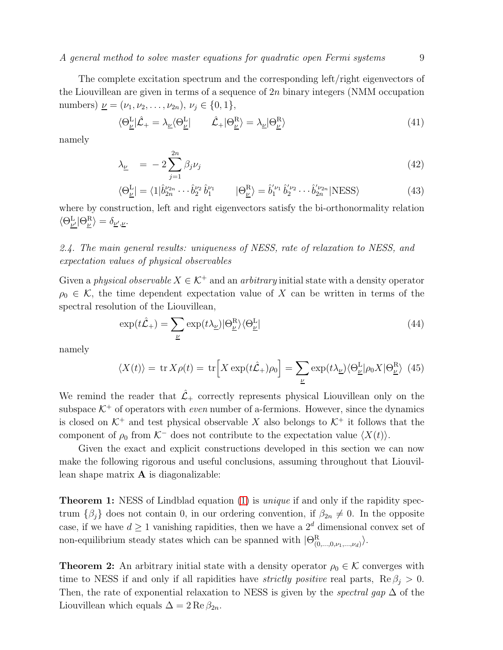A general method to solve master equations for quadratic open Fermi systems 9

The complete excitation spectrum and the corresponding left/right eigenvectors of the Liouvillean are given in terms of a sequence of  $2n$  binary integers (NMM occupation numbers)  $\underline{\nu} = (\nu_1, \nu_2, \dots, \nu_{2n}), \nu_j \in \{0, 1\},\$ 

$$
\langle \Theta_{\underline{\nu}}^{\underline{L}} | \hat{\mathcal{L}}_{+} = \lambda_{\underline{\nu}} \langle \Theta_{\underline{\nu}}^{\underline{L}} | \qquad \hat{\mathcal{L}}_{+} | \Theta_{\underline{\nu}}^{\underline{R}} \rangle = \lambda_{\underline{\nu}} | \Theta_{\underline{\nu}}^{\underline{R}} \rangle \tag{41}
$$

namely

<span id="page-8-0"></span>
$$
\lambda_{\underline{\nu}} = -2 \sum_{j=1}^{2n} \beta_j \nu_j \tag{42}
$$

$$
\langle \Theta_{\underline{\nu}}^{\underline{\mathbf{L}}} | = \langle 1 | \hat{b}_{2n}^{\nu_{2n}} \cdots \hat{b}_{2}^{\nu_{2}} \hat{b}_{1}^{\nu_{1}} \qquad | \Theta_{\underline{\nu}}^{\underline{\mathbf{R}}} \rangle = \hat{b}_{1}^{\nu_{1}} \hat{b}_{2}^{\nu_{2}} \cdots \hat{b}_{2n}^{\nu_{2n}} | \text{NESS} \rangle \tag{43}
$$

where by construction, left and right eigenvectors satisfy the bi-orthonormality relation  $\langle \Theta^{\mathrm{L}}_{\underline{\nu'}} | \Theta^{\mathrm{R}}_{\underline{\nu}} \rangle = \delta_{\underline{\nu'},\underline{\nu}}.$ 

# 2.4. The main general results: uniqueness of NESS, rate of relaxation to NESS, and expectation values of physical observables

Given a physical observable  $X \in \mathcal{K}^+$  and an arbitrary initial state with a density operator  $\rho_0 \in \mathcal{K}$ , the time dependent expectation value of X can be written in terms of the spectral resolution of the Liouvillean,

<span id="page-8-1"></span>
$$
\exp(t\hat{\mathcal{L}}_{+}) = \sum_{\underline{\nu}} \exp(t\lambda_{\underline{\nu}}) |\Theta_{\underline{\nu}}^{R}\rangle \langle \Theta_{\underline{\nu}}^{L}| \tag{44}
$$

namely

$$
\langle X(t) \rangle = \text{tr}\, X \rho(t) = \text{tr}\Big[X \exp(t\hat{\mathcal{L}}_+) \rho_0\Big] = \sum_{\underline{\nu}} \exp(t\lambda_{\underline{\nu}}) \langle \Theta_{\underline{\nu}}^{\underline{\mathrm{L}}} | \rho_0 X | \Theta_{\underline{\nu}}^{\underline{\mathrm{R}}} \rangle \tag{45}
$$

We remind the reader that  $\hat{\mathcal{L}}_+$  correctly represents physical Liouvillean only on the subspace  $K^+$  of operators with *even* number of a-fermions. However, since the dynamics is closed on  $K^+$  and test physical observable X also belongs to  $K^+$  it follows that the component of  $\rho_0$  from K<sup>-</sup> does not contribute to the expectation value  $\langle X(t) \rangle$ .

Given the exact and explicit constructions developed in this section we can now make the following rigorous and useful conclusions, assuming throughout that Liouvillean shape matrix  $\bf{A}$  is diagonalizable:

**Theorem 1:** NESS of Lindblad equation [\(1\)](#page-2-1) is *unique* if and only if the rapidity spectrum  $\{\beta_i\}$  does not contain 0, in our ordering convention, if  $\beta_{2n} \neq 0$ . In the opposite case, if we have  $d \geq 1$  vanishing rapidities, then we have a  $2^d$  dimensional convex set of non-equilibrium steady states which can be spanned with  $|\Theta_{(0,...,0,\nu_1,...,\nu_d)}^R\rangle$ .

**Theorem 2:** An arbitrary initial state with a density operator  $\rho_0 \in \mathcal{K}$  converges with time to NESS if and only if all rapidities have *strictly positive* real parts,  $\text{Re } \beta_i > 0$ . Then, the rate of exponential relaxation to NESS is given by the *spectral gap*  $\Delta$  of the Liouvillean which equals  $\Delta = 2 \text{Re } \beta_{2n}$ .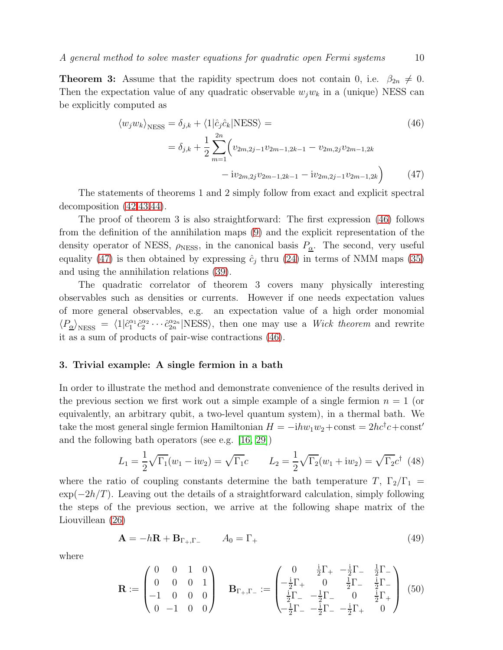**Theorem 3:** Assume that the rapidity spectrum does not contain 0, i.e.  $\beta_{2n} \neq 0$ . Then the expectation value of any quadratic observable  $w_jw_k$  in a (unique) NESS can be explicitly computed as

<span id="page-9-1"></span>
$$
\langle w_j w_k \rangle_{\text{NESS}} = \delta_{j,k} + \langle 1 | \hat{c}_j \hat{c}_k | \text{NESS} \rangle =
$$
\n
$$
= \delta_{j,k} + \frac{1}{2} \sum_{m=1}^{2n} \left( v_{2m,2j-1} v_{2m-1,2k-1} - v_{2m,2j} v_{2m-1,2k} - i v_{2m,2j} v_{2m-1,2k} \right)
$$
\n
$$
- i v_{2m,2j} v_{2m-1,2k-1} - i v_{2m,2j-1} v_{2m-1,2k} \right)
$$
\n(47)

The statements of theorems 1 and 2 simply follow from exact and explicit spectral decomposition [\(42,43,](#page-8-0)[44\)](#page-8-1).

The proof of theorem 3 is also straightforward: The first expression [\(46\)](#page-9-1) follows from the definition of the annihilation maps [\(9\)](#page-3-1) and the explicit representation of the density operator of NESS,  $\rho_{\text{NESS}}$ , in the canonical basis  $P_{\underline{\alpha}}$ . The second, very useful equality [\(47\)](#page-9-1) is then obtained by expressing  $\hat{c}_j$  thru [\(24\)](#page-5-5) in terms of NMM maps [\(35\)](#page-6-7) and using the annihilation relations [\(39\)](#page-7-2).

The quadratic correlator of theorem 3 covers many physically interesting observables such as densities or currents. However if one needs expectation values of more general observables, e.g. an expectation value of a high order monomial  $\langle P_{\underline{\alpha}} \rangle_{\rm NESS} \; = \; \langle 1 | \hat{c}_{1}^{\alpha_{1}}$  $_1^{\alpha_1}\hat{c}_2^{\alpha_2}$  $\hat{c}_2^{\alpha_2} \cdots \hat{c}_{2n}^{\alpha_{2n}}$  NESS), then one may use a *Wick theorem* and rewrite it as a sum of products of pair-wise contractions [\(46\)](#page-9-1).

# <span id="page-9-0"></span>3. Trivial example: A single fermion in a bath

In order to illustrate the method and demonstrate convenience of the results derived in the previous section we first work out a simple example of a single fermion  $n = 1$  (or equivalently, an arbitrary qubit, a two-level quantum system), in a thermal bath. We take the most general single fermion Hamiltonian  $H = -i h w_1 w_2 + \text{const} = 2 h c^{\dagger} c + \text{const}'$ and the following bath operators (see e.g. [\[16,](#page-22-15) [29\]](#page-23-9))

<span id="page-9-2"></span>
$$
L_1 = \frac{1}{2}\sqrt{\Gamma_1}(w_1 - iw_2) = \sqrt{\Gamma_1}c \qquad L_2 = \frac{1}{2}\sqrt{\Gamma_2}(w_1 + iw_2) = \sqrt{\Gamma_2}c^{\dagger} \tag{48}
$$

where the ratio of coupling constants determine the bath temperature T,  $\Gamma_2/\Gamma_1$  =  $\exp(-2h/T)$ . Leaving out the details of a straightforward calculation, simply following the steps of the previous section, we arrive at the following shape matrix of the Liouvillean [\(26\)](#page-5-2)

$$
\mathbf{A} = -h\mathbf{R} + \mathbf{B}_{\Gamma_+,\Gamma_-} \qquad A_0 = \Gamma_+ \tag{49}
$$

where

<span id="page-9-3"></span>
$$
\mathbf{R} := \begin{pmatrix} 0 & 0 & 1 & 0 \\ 0 & 0 & 0 & 1 \\ -1 & 0 & 0 & 0 \\ 0 & -1 & 0 & 0 \end{pmatrix} \quad \mathbf{B}_{\Gamma_+, \Gamma_-} := \begin{pmatrix} 0 & \frac{\mathrm{i}}{2} \Gamma_+ & -\frac{\mathrm{i}}{2} \Gamma_- & \frac{1}{2} \Gamma_- \\ -\frac{\mathrm{i}}{2} \Gamma_+ & 0 & \frac{1}{2} \Gamma_- & \frac{\mathrm{i}}{2} \Gamma_- \\ \frac{\mathrm{i}}{2} \Gamma_- & -\frac{1}{2} \Gamma_- & 0 & \frac{\mathrm{i}}{2} \Gamma_+ \\ -\frac{1}{2} \Gamma_- & -\frac{\mathrm{i}}{2} \Gamma_- & -\frac{\mathrm{i}}{2} \Gamma_+ & 0 \end{pmatrix} \tag{50}
$$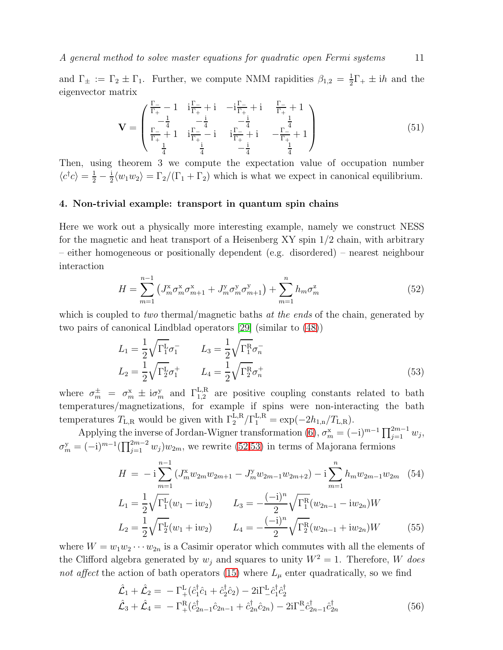and  $\Gamma_{\pm} := \Gamma_2 \pm \Gamma_1$ . Further, we compute NMM rapidities  $\beta_{1,2} = \frac{1}{2}$  $\frac{1}{2}\Gamma_+ \pm ih$  and the eigenvector matrix

$$
\mathbf{V} = \begin{pmatrix} \frac{\Gamma_{-}}{\Gamma_{+}} - 1 & \mathbf{i} \frac{\Gamma_{-}}{\Gamma_{+}} + \mathbf{i} & -\mathbf{i} \frac{\Gamma_{-}}{\Gamma_{+}} + \mathbf{i} & \frac{\Gamma_{-}}{\Gamma_{+}} + 1 \\ -\frac{1}{4} & -\frac{\mathbf{i}}{4} & -\frac{\mathbf{i}}{4} & \frac{1}{4} \\ \frac{\Gamma_{-}}{\Gamma_{+}} + 1 & \mathbf{i} \frac{\Gamma_{-}}{\Gamma_{+}} - \mathbf{i} & \mathbf{i} \frac{\Gamma_{-}}{\Gamma_{+}} + \mathbf{i} & -\frac{\Gamma_{-}}{\Gamma_{+}} + 1 \\ \frac{1}{4} & \frac{\mathbf{i}}{4} & -\frac{\mathbf{i}}{4} & \frac{1}{4} \end{pmatrix}
$$
(51)

Then, using theorem 3 we compute the expectation value of occupation number  $\langle c^{\dagger}c \rangle = \frac{1}{2} - \frac{1}{2}$  $\frac{1}{2}\langle w_1 w_2 \rangle = \Gamma_2/(\Gamma_1 + \Gamma_2)$  which is what we expect in canonical equilibrium.

#### <span id="page-10-0"></span>4. Non-trivial example: transport in quantum spin chains

Here we work out a physically more interesting example, namely we construct NESS for the magnetic and heat transport of a Heisenberg XY spin 1/2 chain, with arbitrary – either homogeneous or positionally dependent (e.g. disordered) – nearest neighbour interaction

<span id="page-10-1"></span>
$$
H = \sum_{m=1}^{n-1} \left( J_m^x \sigma_m^x \sigma_{m+1}^x + J_m^y \sigma_m^y \sigma_{m+1}^y \right) + \sum_{m=1}^n h_m \sigma_m^z \tag{52}
$$

which is coupled to *two* thermal/magnetic baths at the ends of the chain, generated by two pairs of canonical Lindblad operators [\[29\]](#page-23-9) (similar to [\(48\)](#page-9-2))

<span id="page-10-2"></span>
$$
L_1 = \frac{1}{2} \sqrt{\Gamma_1^L \sigma_1^-} \qquad L_3 = \frac{1}{2} \sqrt{\Gamma_1^R \sigma_n^-} L_2 = \frac{1}{2} \sqrt{\Gamma_2^L \sigma_1^+} \qquad L_4 = \frac{1}{2} \sqrt{\Gamma_2^R \sigma_n^+}
$$
(53)

where  $\sigma_m^{\pm} = \sigma_m^{\rm x} \pm i \sigma_m^{\rm y}$  and  $\Gamma_{1,2}^{\rm L,R}$  are positive coupling constants related to bath temperatures/magnetizations, for example if spins were non-interacting the bath temperatures  $T_{L,R}$  would be given with  $\Gamma_2^{L,R}/\Gamma_1^{L,R} = \exp(-2h_{1,n}/T_{L,R})$ .

Applying the inverse of Jordan-Wigner transformation [\(6\)](#page-2-4),  $\sigma_m^x = (-i)^{m-1} \prod_{j=1}^{2m-1} w_j$ ,  $\sigma_m^y = (-i)^{m-1} \left( \prod_{j=1}^{2m-2} w_j \right) w_{2m}$ , we rewrite [\(52](#page-10-1)[,53\)](#page-10-2) in terms of Majorana fermions

$$
H = -i \sum_{m=1}^{n-1} \left( J_m^x w_{2m} w_{2m+1} - J_m^y w_{2m-1} w_{2m+2} \right) - i \sum_{m=1}^n h_m w_{2m-1} w_{2m} \quad (54)
$$
  
\n
$$
L_1 = \frac{1}{2} \sqrt{\Gamma_1^L} (w_1 - iw_2) \qquad L_3 = -\frac{(-i)^n}{2} \sqrt{\Gamma_1^R} (w_{2n-1} - iw_{2n}) W
$$
  
\n
$$
L_2 = \frac{1}{2} \sqrt{\Gamma_2^L} (w_1 + iw_2) \qquad L_4 = -\frac{(-i)^n}{2} \sqrt{\Gamma_2^R} (w_{2n-1} + iw_{2n}) W \qquad (55)
$$

where  $W = w_1 w_2 \cdots w_{2n}$  is a Casimir operator which commutes with all the elements of the Clifford algebra generated by  $w_j$  and squares to unity  $W^2 = 1$ . Therefore, W does not affect the action of bath operators [\(15\)](#page-4-2) where  $L_{\mu}$  enter quadratically, so we find

$$
\hat{\mathcal{L}}_1 + \hat{\mathcal{L}}_2 = -\Gamma_+^{\text{L}}(\hat{c}_1^{\dagger} \hat{c}_1 + \hat{c}_2^{\dagger} \hat{c}_2) - 2i\Gamma_-^{\text{L}} \hat{c}_1^{\dagger} \hat{c}_2^{\dagger} \n\hat{\mathcal{L}}_3 + \hat{\mathcal{L}}_4 = -\Gamma_+^{\text{R}}(\hat{c}_{2n-1}^{\dagger} \hat{c}_{2n-1} + \hat{c}_{2n}^{\dagger} \hat{c}_{2n}) - 2i\Gamma_-^{\text{R}} \hat{c}_{2n-1}^{\dagger} \hat{c}_{2n}^{\dagger}
$$
\n(56)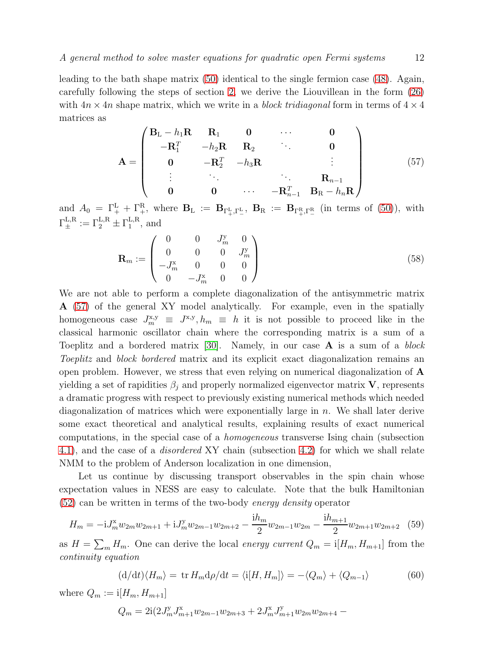leading to the bath shape matrix [\(50\)](#page-9-3) identical to the single fermion case [\(48\)](#page-9-2). Again, carefully following the steps of section [2,](#page-2-0) we derive the Liouvillean in the form [\(26\)](#page-5-2) with  $4n \times 4n$  shape matrix, which we write in a block tridiagonal form in terms of  $4 \times 4$ matrices as

<span id="page-11-0"></span>
$$
\mathbf{A} = \begin{pmatrix} \mathbf{B}_{L} - h_{1} \mathbf{R} & \mathbf{R}_{1} & \mathbf{0} & \cdots & \mathbf{0} \\ -\mathbf{R}_{1}^{T} & -h_{2} \mathbf{R} & \mathbf{R}_{2} & \cdots & \mathbf{0} \\ \mathbf{0} & -\mathbf{R}_{2}^{T} & -h_{3} \mathbf{R} & & \vdots \\ \vdots & \ddots & \ddots & \ddots & \mathbf{R}_{n-1} \\ \mathbf{0} & \mathbf{0} & \cdots & -\mathbf{R}_{n-1}^{T} & \mathbf{B}_{R} - h_{n} \mathbf{R} \end{pmatrix}
$$
(57)

and  $A_0 = \Gamma^{\text{L}}_+ + \Gamma^{\text{R}}_+,$  where  $B_{\text{L}} := B_{\Gamma^{\text{L}}_+, \Gamma^{\text{L}}_-}$ ,  $B_{\text{R}} := B_{\Gamma^{\text{R}}_+, \Gamma^{\text{R}}_-}$  (in terms of [\(50\)](#page-9-3)), with  $\Gamma_{\pm}^{\text{L,R}} := \Gamma_2^{\text{L,R}} \pm \Gamma_1^{\text{L,R}}$  $_1^{\text{L},\text{R}},$  and

$$
\mathbf{R}_m := \begin{pmatrix} 0 & 0 & J_m^y & 0 \\ 0 & 0 & 0 & J_m^y \\ -J_m^x & 0 & 0 & 0 \\ 0 & -J_m^x & 0 & 0 \end{pmatrix}
$$
 (58)

We are not able to perform a complete diagonalization of the antisymmetric matrix A [\(57\)](#page-11-0) of the general XY model analytically. For example, even in the spatially homogeneous case  $J_m^{x,y} \equiv J^{x,y}, h_m \equiv h$  it is not possible to proceed like in the classical harmonic oscillator chain where the corresponding matrix is a sum of a Toeplitz and a bordered matrix [\[30\]](#page-23-10). Namely, in our case A is a sum of a block Toeplitz and block bordered matrix and its explicit exact diagonalization remains an open problem. However, we stress that even relying on numerical diagonalization of A yielding a set of rapidities  $\beta_j$  and properly normalized eigenvector matrix **V**, represents a dramatic progress with respect to previously existing numerical methods which needed diagonalization of matrices which were exponentially large in  $n$ . We shall later derive some exact theoretical and analytical results, explaining results of exact numerical computations, in the special case of a homogeneous transverse Ising chain (subsection [4.1\)](#page-12-0), and the case of a disordered XY chain (subsection [4.2\)](#page-19-0) for which we shall relate NMM to the problem of Anderson localization in one dimension,

Let us continue by discussing transport observables in the spin chain whose expectation values in NESS are easy to calculate. Note that the bulk Hamiltonian [\(52\)](#page-10-1) can be written in terms of the two-body energy density operator

<span id="page-11-3"></span>
$$
H_m = -iJ_m^x w_{2m} w_{2m+1} + iJ_m^y w_{2m-1} w_{2m+2} - \frac{ih_m}{2} w_{2m-1} w_{2m} - \frac{ih_{m+1}}{2} w_{2m+1} w_{2m+2} \tag{59}
$$

as  $H = \sum_m H_m$ . One can derive the local energy current  $Q_m = i[H_m, H_{m+1}]$  from the continuity equation

<span id="page-11-1"></span>
$$
\left(\frac{d}{dt}\right)\left\langle H_m\right\rangle = \text{tr}\,H_m\frac{d\rho}{dt} = \left\langle \frac{i[H, H_m]\right\rangle = -\left\langle Q_m\right\rangle + \left\langle Q_{m-1}\right\rangle \tag{60}
$$

where  $Q_m := \mathrm{i}[H_m, H_{m+1}]$ 

<span id="page-11-2"></span>
$$
Q_m = 2i(2J_m^{\rm y}J_{m+1}^{\rm x}w_{2m-1}w_{2m+3} + 2J_m^{\rm x}J_{m+1}^{\rm y}w_{2m}w_{2m+4} -
$$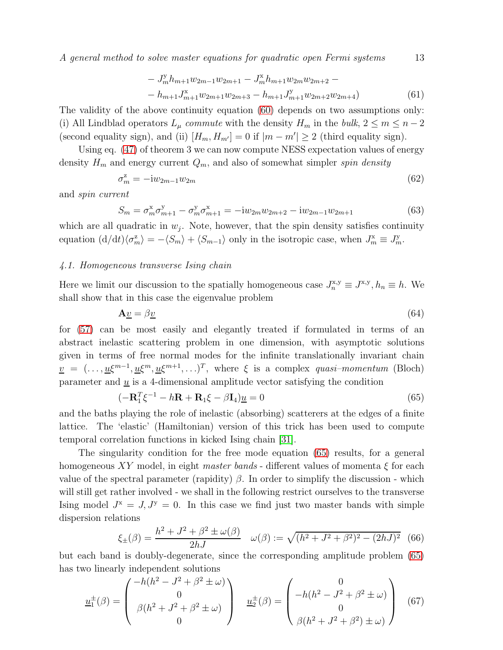A general method to solve master equations for quadratic open Fermi systems 13

$$
- J_m^{\mathbf{y}} h_{m+1} w_{2m-1} w_{2m+1} - J_m^{\mathbf{x}} h_{m+1} w_{2m} w_{2m+2} -- h_{m+1} J_{m+1}^{\mathbf{x}} w_{2m+1} w_{2m+3} - h_{m+1} J_{m+1}^{\mathbf{y}} w_{2m+2} w_{2m+4})
$$
(61)

The validity of the above continuity equation [\(60\)](#page-11-1) depends on two assumptions only: (i) All Lindblad operators  $L_{\mu}$  commute with the density  $H_m$  in the bulk,  $2 \leq m \leq n-2$ (second equality sign), and (ii)  $[H_m, H_{m'}] = 0$  if  $|m - m'| \ge 2$  (third equality sign).

Using eq. [\(47\)](#page-9-1) of theorem 3 we can now compute NESS expectation values of energy density  $H_m$  and energy current  $Q_m$ , and also of somewhat simpler spin density

<span id="page-12-6"></span>
$$
\sigma_m^z = -i w_{2m-1} w_{2m} \tag{62}
$$

and spin current

<span id="page-12-5"></span>
$$
S_m = \sigma_m^x \sigma_{m+1}^y - \sigma_m^y \sigma_{m+1}^x = -i w_{2m} w_{2m+2} - i w_{2m-1} w_{2m+1}
$$
(63)

which are all quadratic in  $w_j$ . Note, however, that the spin density satisfies continuity equation  $(d/dt)\langle \sigma_m^z \rangle = -\langle S_m \rangle + \langle S_{m-1} \rangle$  only in the isotropic case, when  $J_m^x \equiv J_m^y$ .

#### <span id="page-12-0"></span>4.1. Homogeneous transverse Ising chain

Here we limit our discussion to the spatially homogeneous case  $J_n^{x,y} \equiv J^{x,y}, h_n \equiv h$ . We shall show that in this case the eigenvalue problem

<span id="page-12-3"></span>
$$
\mathbf{A}\underline{v} = \beta \underline{v} \tag{64}
$$

for [\(57\)](#page-11-0) can be most easily and elegantly treated if formulated in terms of an abstract inelastic scattering problem in one dimension, with asymptotic solutions given in terms of free normal modes for the infinite translationally invariant chain  $v = (\ldots, u\xi^{m-1}, u\xi^m, u\xi^{m+1}, \ldots)^T$ , where  $\xi$  is a complex quasi-momentum (Bloch) parameter and  $\underline{u}$  is a 4-dimensional amplitude vector satisfying the condition

<span id="page-12-1"></span>
$$
(-\mathbf{R}_1^T \boldsymbol{\xi}^{-1} - h\mathbf{R} + \mathbf{R}_1 \boldsymbol{\xi} - \beta \mathbf{I}_4)\underline{\boldsymbol{u}} = 0
$$
\n(65)

and the baths playing the role of inelastic (absorbing) scatterers at the edges of a finite lattice. The 'elastic' (Hamiltonian) version of this trick has been used to compute temporal correlation functions in kicked Ising chain [\[31\]](#page-23-11).

The singularity condition for the free mode equation [\(65\)](#page-12-1) results, for a general homogeneous XY model, in eight *master bands* - different values of momenta  $\xi$  for each value of the spectral parameter (rapidity)  $β$ . In order to simplify the discussion - which will still get rather involved - we shall in the following restrict ourselves to the transverse Ising model  $J^x = J, J^y = 0$ . In this case we find just two master bands with simple dispersion relations

<span id="page-12-2"></span>
$$
\xi_{\pm}(\beta) = \frac{h^2 + J^2 + \beta^2 \pm \omega(\beta)}{2hJ} \quad \omega(\beta) := \sqrt{(h^2 + J^2 + \beta^2)^2 - (2hJ)^2} \tag{66}
$$

but each band is doubly-degenerate, since the corresponding amplitude problem [\(65\)](#page-12-1) has two linearly independent solutions

<span id="page-12-4"></span>
$$
\underline{u}_1^{\pm}(\beta) = \begin{pmatrix} -h(h^2 - J^2 + \beta^2 \pm \omega) \\ 0 \\ \beta(h^2 + J^2 + \beta^2 \pm \omega) \\ 0 \end{pmatrix} \quad \underline{u}_2^{\pm}(\beta) = \begin{pmatrix} 0 \\ -h(h^2 - J^2 + \beta^2 \pm \omega) \\ 0 \\ \beta(h^2 + J^2 + \beta^2) \pm \omega) \end{pmatrix} \tag{67}
$$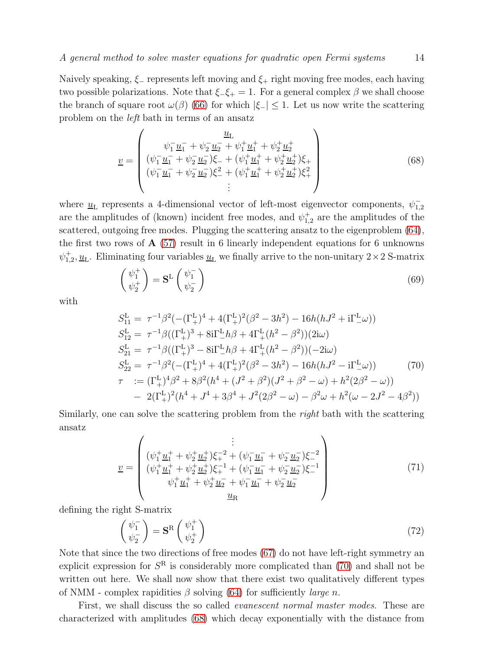Naively speaking,  $\xi$  represents left moving and  $\xi$  right moving free modes, each having two possible polarizations. Note that  $\xi_{-} \xi_{+} = 1$ . For a general complex  $\beta$  we shall choose the branch of square root  $\omega(\beta)$  [\(66\)](#page-12-2) for which  $|\xi_-| \leq 1$ . Let us now write the scattering problem on the left bath in terms of an ansatz

<span id="page-13-1"></span>
$$
\underline{v} = \begin{pmatrix} \underline{\psi_1} \underline{u_1} + \psi_2 \underline{u_2} + \psi_1^+ \underline{u_1} + \psi_2^+ \underline{u_2} \\ (\psi_1^- \underline{u_1} + \psi_2^- \underline{u_2}) \xi_- + (\psi_1^+ \underline{u_1}^+ + \psi_2^+ \underline{u_2}^+) \xi_+ \\ (\psi_1^- \underline{u_1} + \psi_2^- \underline{u_2}) \xi_-^2 + (\psi_1^+ \underline{u_1}^+ + \psi_2^+ \underline{u_2}^+) \xi_+^2 \\ \vdots \end{pmatrix} \tag{68}
$$

where  $\underline{u}_L$  represents a 4-dimensional vector of left-most eigenvector components,  $\psi_{1,2}^$ are the amplitudes of (known) incident free modes, and  $\psi_{1,2}^{+}$  are the amplitudes of the scattered, outgoing free modes. Plugging the scattering ansatz to the eigenproblem [\(64\)](#page-12-3), the first two rows of  $A(57)$  $A(57)$  result in 6 linearly independent equations for 6 unknowns  $\psi_{1,2}^+, \underline{u}_L$ . Eliminating four variables  $\underline{u}_L$  we finally arrive to the non-unitary  $2 \times 2$  S-matrix

<span id="page-13-2"></span>
$$
\begin{pmatrix} \psi_1^+ \\ \psi_2^+ \end{pmatrix} = \mathbf{S}^{\mathcal{L}} \begin{pmatrix} \psi_1^- \\ \psi_2^- \end{pmatrix} \tag{69}
$$

with

<span id="page-13-0"></span>
$$
S_{11}^{\text{L}} = \tau^{-1}\beta^2(-(\Gamma_+^{\text{L}})^4 + 4(\Gamma_+^{\text{L}})^2(\beta^2 - 3h^2) - 16h(hJ^2 + i\Gamma_-^{\text{L}}\omega))
$$
  
\n
$$
S_{12}^{\text{L}} = \tau^{-1}\beta((\Gamma_+^{\text{L}})^3 + 8i\Gamma_-^{\text{L}}h\beta + 4\Gamma_+^{\text{L}}(h^2 - \beta^2))(2i\omega)
$$
  
\n
$$
S_{21}^{\text{L}} = \tau^{-1}\beta((\Gamma_+^{\text{L}})^3 - 8i\Gamma_-^{\text{L}}h\beta + 4\Gamma_+^{\text{L}}(h^2 - \beta^2))(-2i\omega)
$$
  
\n
$$
S_{22}^{\text{L}} = \tau^{-1}\beta^2(-(\Gamma_+^{\text{L}})^4 + 4(\Gamma_+^{\text{L}})^2(\beta^2 - 3h^2) - 16h(hJ^2 - i\Gamma_-^{\text{L}}\omega))
$$
  
\n
$$
\tau := (\Gamma_+^{\text{L}})^4\beta^2 + 8\beta^2(h^4 + (J^2 + \beta^2)(J^2 + \beta^2 - \omega) + h^2(2\beta^2 - \omega))
$$
  
\n
$$
- 2(\Gamma_+^{\text{L}})^2(h^4 + J^4 + 3\beta^4 + J^2(2\beta^2 - \omega) - \beta^2\omega + h^2(\omega - 2J^2 - 4\beta^2))
$$

Similarly, one can solve the scattering problem from the *right* bath with the scattering ansatz

v = . . . (ψ + <sup>1</sup> u + <sup>1</sup> + ψ + <sup>2</sup> u + 2 )ξ −2 <sup>+</sup> + (ψ − <sup>1</sup> u − <sup>1</sup> + ψ − <sup>2</sup> u − 2 )ξ −2 − (ψ + <sup>1</sup> u + <sup>1</sup> + ψ + <sup>2</sup> u + 2 )ξ −1 <sup>+</sup> + (ψ − <sup>1</sup> u − <sup>1</sup> + ψ − <sup>2</sup> u − 2 )ξ −1 − ψ + <sup>1</sup> u + <sup>1</sup> + ψ + <sup>2</sup> u − <sup>2</sup> + ψ − <sup>1</sup> u − <sup>1</sup> + ψ − <sup>2</sup> u − 2 uR (71)

defining the right S-matrix

$$
\begin{pmatrix} \psi_1^- \\ \psi_2^- \end{pmatrix} = \mathbf{S}^{\mathrm{R}} \begin{pmatrix} \psi_1^+ \\ \psi_2^+ \end{pmatrix} \tag{72}
$$

Note that since the two directions of free modes [\(67\)](#page-12-4) do not have left-right symmetry an explicit expression for  $S<sup>R</sup>$  is considerably more complicated than [\(70\)](#page-13-0) and shall not be written out here. We shall now show that there exist two qualitatively different types of NMM - complex rapidities  $\beta$  solving [\(64\)](#page-12-3) for sufficiently *large n*.

First, we shall discuss the so called evanescent normal master modes. These are characterized with amplitudes [\(68\)](#page-13-1) which decay exponentially with the distance from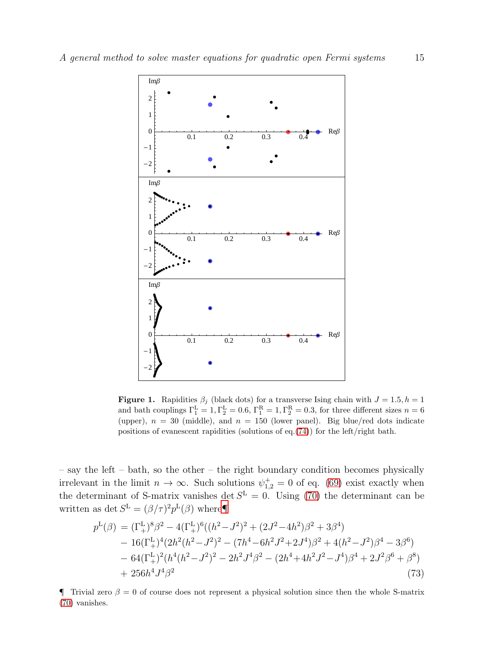

<span id="page-14-2"></span>**Figure 1.** Rapidities  $\beta_j$  (black dots) for a transverse Ising chain with  $J = 1.5, h = 1$ and bath couplings  $\Gamma_1^{\text{L}} = 1, \Gamma_2^{\text{L}} = 0.6, \Gamma_1^{\text{R}} = 1, \Gamma_2^{\text{R}} = 0.3$ , for three different sizes  $n = 6$ (upper),  $n = 30$  (middle), and  $n = 150$  (lower panel). Big blue/red dots indicate positions of evanescent rapidities (solutions of eq.[\(74\)](#page-15-0)) for the left/right bath.

– say the left – bath, so the other – the right boundary condition becomes physically irrelevant in the limit  $n \to \infty$ . Such solutions  $\psi_{1,2}^+ = 0$  of eq. [\(69\)](#page-13-2) exist exactly when the determinant of S-matrix vanishes det  $S<sup>L</sup> = 0$ . Using [\(70\)](#page-13-0) the determinant can be written as det  $S^{\mathcal{L}} = (\beta/\tau)^2 p^{\mathcal{L}}(\beta)$  where

<span id="page-14-1"></span>
$$
p^{\mathrm{L}}(\beta) = (\Gamma_{+}^{\mathrm{L}})^{8} \beta^{2} - 4(\Gamma_{+}^{\mathrm{L}})^{6} ((h^{2} - J^{2})^{2} + (2J^{2} - 4h^{2}) \beta^{2} + 3\beta^{4})
$$
  
\n
$$
- 16(\Gamma_{+}^{\mathrm{L}})^{4} (2h^{2}(h^{2} - J^{2})^{2} - (7h^{4} - 6h^{2}J^{2} + 2J^{4}) \beta^{2} + 4(h^{2} - J^{2}) \beta^{4} - 3\beta^{6})
$$
  
\n
$$
- 64(\Gamma_{+}^{\mathrm{L}})^{2} (h^{4}(h^{2} - J^{2})^{2} - 2h^{2}J^{4}\beta^{2} - (2h^{4} + 4h^{2}J^{2} - J^{4}) \beta^{4} + 2J^{2}\beta^{6} + \beta^{8})
$$
  
\n
$$
+ 256h^{4}J^{4}\beta^{2}
$$
 (73)

<span id="page-14-0"></span> $\P$  Trivial zero  $\beta = 0$  of course does not represent a physical solution since then the whole S-matrix [\(70\)](#page-13-0) vanishes.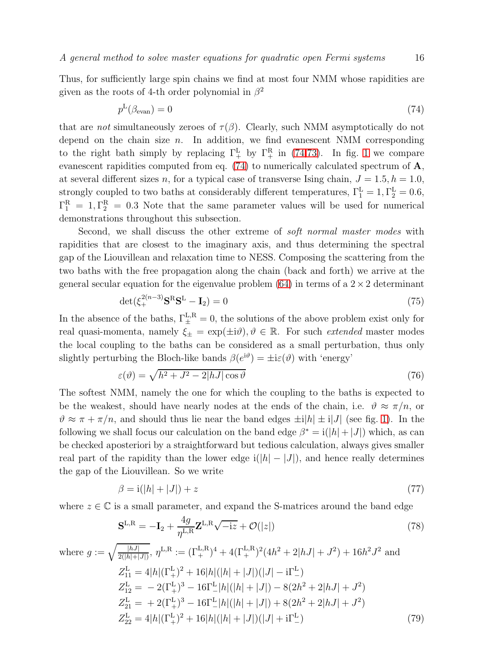Thus, for sufficiently large spin chains we find at most four NMM whose rapidities are given as the roots of 4-th order polynomial in  $\beta^2$ 

<span id="page-15-0"></span>
$$
p^{\mathcal{L}}(\beta_{\text{evan}}) = 0 \tag{74}
$$

that are not simultaneously zeroes of  $\tau(\beta)$ . Clearly, such NMM asymptotically do not depend on the chain size  $n$ . In addition, we find evanescent NMM corresponding to the right bath simply by replacing  $\Gamma^{\text{L}}_{+}$  by  $\Gamma^{\text{R}}_{+}$  in [\(74,](#page-15-0)[73\)](#page-14-1). In fig. [1](#page-14-2) we compare evanescent rapidities computed from eq. [\(74\)](#page-15-0) to numerically calculated spectrum of A, at several different sizes n, for a typical case of transverse Ising chain,  $J = 1.5, h = 1.0$ , strongly coupled to two baths at considerably different temperatures,  $\Gamma_1^{\text{L}} = 1, \Gamma_2^{\text{L}} = 0.6$ ,  $\Gamma_1^{\rm R} = 1, \Gamma_2^{\rm R} = 0.3$  Note that the same parameter values will be used for numerical demonstrations throughout this subsection.

Second, we shall discuss the other extreme of soft normal master modes with rapidities that are closest to the imaginary axis, and thus determining the spectral gap of the Liouvillean and relaxation time to NESS. Composing the scattering from the two baths with the free propagation along the chain (back and forth) we arrive at the general secular equation for the eigenvalue problem  $(64)$  in terms of a  $2 \times 2$  determinant

<span id="page-15-1"></span>
$$
\det(\xi_+^{2(n-3)}\mathbf{S}^{\mathrm{R}}\mathbf{S}^{\mathrm{L}} - \mathbf{I}_2) = 0\tag{75}
$$

In the absence of the baths,  $\Gamma_{\pm}^{L,R} = 0$ , the solutions of the above problem exist only for real quasi-momenta, namely  $\xi_{\pm} = \exp(\pm i\vartheta), \vartheta \in \mathbb{R}$ . For such extended master modes the local coupling to the baths can be considered as a small perturbation, thus only slightly perturbing the Bloch-like bands  $\beta(e^{i\theta}) = \pm i\varepsilon(\theta)$  with 'energy'

$$
\varepsilon(\vartheta) = \sqrt{h^2 + J^2 - 2|hJ|\cos\vartheta} \tag{76}
$$

The softest NMM, namely the one for which the coupling to the baths is expected to be the weakest, should have nearly nodes at the ends of the chain, i.e.  $\vartheta \approx \pi/n$ , or  $\vartheta \approx \pi + \pi/n$ , and should thus lie near the band edges  $\pm i|h| \pm i|J|$  (see fig. [1\)](#page-14-2). In the following we shall focus our calculation on the band edge  $\beta^* = i(|h| + |J|)$  which, as can be checked aposteriori by a straightforward but tedious calculation, always gives smaller real part of the rapidity than the lower edge  $i(|h| - |J|)$ , and hence really determines the gap of the Liouvillean. So we write

$$
\beta = i(|h| + |J|) + z \tag{77}
$$

where  $z \in \mathbb{C}$  is a small parameter, and expand the S-matrices around the band edge

<span id="page-15-2"></span>
$$
\mathbf{S}^{\mathrm{L,R}} = -\mathbf{I}_2 + \frac{4g}{\eta^{\mathrm{L,R}}} \mathbf{Z}^{\mathrm{L,R}} \sqrt{-iz} + \mathcal{O}(|z|)
$$
\n(78)

where 
$$
g := \sqrt{\frac{|hJ|}{2(|h|+|J|)}}, \eta^{\text{L,R}} := (\Gamma_+^{\text{L,R}})^4 + 4(\Gamma_+^{\text{L,R}})^2(4h^2 + 2|hJ| + J^2) + 16h^2J^2
$$
 and  
\n
$$
Z_{11}^{\text{L}} = 4|h|(\Gamma_+^{\text{L}})^2 + 16|h|(|h| + |J|)(|J| - i\Gamma_-^{\text{L}})
$$
\n
$$
Z_{12}^{\text{L}} = -2(\Gamma_+^{\text{L}})^3 - 16\Gamma_-^{\text{L}}|h|(|h| + |J|) - 8(2h^2 + 2|hJ| + J^2)
$$
\n
$$
Z_{21}^{\text{L}} = +2(\Gamma_+^{\text{L}})^3 - 16\Gamma_-^{\text{L}}|h|(|h| + |J|) + 8(2h^2 + 2|hJ| + J^2)
$$
\n
$$
Z_{22}^{\text{L}} = 4|h|(\Gamma_+^{\text{L}})^2 + 16|h|(|h| + |J|)(|J| + i\Gamma_-^{\text{L}})
$$
\n(79)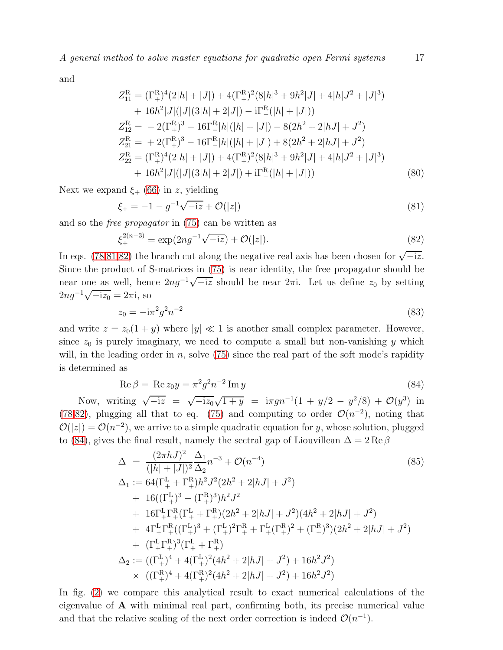and

$$
Z_{11}^{R} = (\Gamma_{+}^{R})^{4} (2|h| + |J|) + 4(\Gamma_{+}^{R})^{2} (8|h|^{3} + 9h^{2}|J| + 4|h|J^{2} + |J|^{3})
$$
  
+  $16h^{2}|J|(|J| (3|h| + 2|J|) - i\Gamma_{-}^{R} (|h| + |J|))$   

$$
Z_{12}^{R} = -2(\Gamma_{+}^{R})^{3} - 16\Gamma_{-}^{R}|h|(|h| + |J|) - 8(2h^{2} + 2|hJ| + J^{2})
$$
  

$$
Z_{21}^{R} = +2(\Gamma_{+}^{R})^{3} - 16\Gamma_{-}^{R}|h|(|h| + |J|) + 8(2h^{2} + 2|hJ| + J^{2})
$$
  

$$
Z_{22}^{R} = (\Gamma_{+}^{R})^{4} (2|h| + |J|) + 4(\Gamma_{+}^{R})^{2} (8|h|^{3} + 9h^{2}|J| + 4|h|J^{2} + |J|^{3})
$$
  
+  $16h^{2}|J|(|J| (3|h| + 2|J|) + i\Gamma_{-}^{R}(|h| + |J|))$  (80)

Next we expand  $\xi_{+}$  [\(66\)](#page-12-2) in z, yielding

<span id="page-16-0"></span>
$$
\xi_{+} = -1 - g^{-1}\sqrt{-iz} + \mathcal{O}(|z|)
$$
\n(81)

and so the free propagator in [\(75\)](#page-15-1) can be written as

<span id="page-16-1"></span>
$$
\xi_{+}^{2(n-3)} = \exp(2ng^{-1}\sqrt{-iz}) + \mathcal{O}(|z|). \tag{82}
$$

In eqs. [\(78,](#page-15-2)[81,](#page-16-0)[82\)](#page-16-1) the branch cut along the negative real axis has been chosen for  $\sqrt{-iz}$ . Since the product of S-matrices in [\(75\)](#page-15-1) is near identity, the free propagator should be near one as well, hence  $2ng^{-1}\sqrt{-iz}$  should be near  $2\pi i$ . Let us define  $z_0$  by setting  $2ng^{-1}\sqrt{-iz_0} = 2\pi i$ , so

$$
z_0 = -i\pi^2 g^2 n^{-2} \tag{83}
$$

and write  $z = z_0(1 + y)$  where  $|y| \ll 1$  is another small complex parameter. However, since  $z_0$  is purely imaginary, we need to compute a small but non-vanishing y which will, in the leading order in n, solve  $(75)$  since the real part of the soft mode's rapidity is determined as

<span id="page-16-2"></span>
$$
\operatorname{Re}\beta = \operatorname{Re} z_0 y = \pi^2 g^2 n^{-2} \operatorname{Im} y \tag{84}
$$

Now, writing  $\sqrt{-iz} = \sqrt{-iz_0}\sqrt{1+y} = i\pi g n^{-1}(1+y/2-y^2/8) + \mathcal{O}(y^3)$  in [\(78](#page-15-2)[,82\)](#page-16-1), plugging all that to eq. [\(75\)](#page-15-1) and computing to order  $\mathcal{O}(n^{-2})$ , noting that  $\mathcal{O}(|z|) = \mathcal{O}(n^{-2})$ , we arrive to a simple quadratic equation for y, whose solution, plugged to [\(84\)](#page-16-2), gives the final result, namely the sectral gap of Liouvillean  $\Delta = 2 \text{Re } \beta$ 

<span id="page-16-3"></span>
$$
\Delta = \frac{(2\pi hJ)^2}{(|h| + |J|)^2} \frac{\Delta_1}{\Delta_2} n^{-3} + \mathcal{O}(n^{-4})
$$
\n
$$
\Delta_1 := 64(\Gamma_+^{\text{L}} + \Gamma_+^{\text{R}})h^2 J^2 (2h^2 + 2|hJ| + J^2)
$$
\n
$$
+ 16((\Gamma_+^{\text{L}})^3 + (\Gamma_+^{\text{R}})^3)h^2 J^2
$$
\n
$$
+ 16\Gamma_+^{\text{L}} \Gamma_+^{\text{R}} (\Gamma_+^{\text{L}} + \Gamma_+^{\text{R}}) (2h^2 + 2|hJ| + J^2) (4h^2 + 2|hJ| + J^2)
$$
\n
$$
+ 4\Gamma_+^{\text{L}} \Gamma_+^{\text{R}} ((\Gamma_+^{\text{L}})^3 + (\Gamma_+^{\text{L}})^2 \Gamma_+^{\text{R}} + \Gamma_+^{\text{L}} (\Gamma_+^{\text{R}})^2 + (\Gamma_+^{\text{R}})^3) (2h^2 + 2|hJ| + J^2)
$$
\n
$$
+ (\Gamma_+^{\text{L}} \Gamma_+^{\text{R}})^3 (\Gamma_+^{\text{L}} + \Gamma_+^{\text{R}})
$$
\n
$$
\Delta_2 := ((\Gamma_+^{\text{L}})^4 + 4(\Gamma_+^{\text{L}})^2 (4h^2 + 2|hJ| + J^2) + 16h^2 J^2)
$$
\n
$$
\times ((\Gamma_+^{\text{R}})^4 + 4(\Gamma_+^{\text{R}})^2 (4h^2 + 2|hJ| + J^2) + 16h^2 J^2)
$$

In fig. [\(2\)](#page-17-0) we compare this analytical result to exact numerical calculations of the eigenvalue of A with minimal real part, confirming both, its precise numerical value and that the relative scaling of the next order correction is indeed  $\mathcal{O}(n^{-1})$ .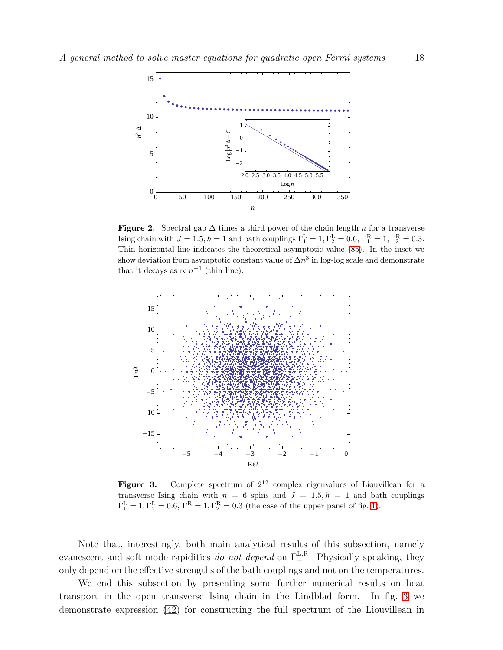

<span id="page-17-0"></span>Figure 2. Spectral gap  $\Delta$  times a third power of the chain length n for a transverse Ising chain with  $J = 1.5, h = 1$  and bath couplings  $\Gamma_1^{\text{L}} = 1, \Gamma_2^{\text{L}} = 0.6, \Gamma_1^{\text{R}} = 1, \Gamma_2^{\text{R}} = 0.3$ . Thin horizontal line indicates the theoretical asymptotic value [\(85\)](#page-16-3). In the inset we show deviation from asymptotic constant value of  $\Delta n^3$  in log-log scale and demonstrate that it decays as  $\propto n^{-1}$  (thin line).



<span id="page-17-1"></span>**Figure 3.** Complete spectrum of  $2^{12}$  complex eigenvalues of Liouvillean for a transverse Ising chain with  $n = 6$  spins and  $J = 1.5, h = 1$  and bath couplings  $\Gamma_1^{\text{L}} = 1, \Gamma_2^{\text{L}} = 0.6, \Gamma_1^{\text{R}} = 1, \Gamma_2^{\text{R}} = 0.3$  (the case of the upper panel of fig. [1\)](#page-14-2).

Note that, interestingly, both main analytical results of this subsection, namely evanescent and soft mode rapidities do not depend on  $\Gamma_{-}^{L,R}$ . Physically speaking, they only depend on the effective strengths of the bath couplings and not on the temperatures.

We end this subsection by presenting some further numerical results on heat transport in the open transverse Ising chain in the Lindblad form. In fig. [3](#page-17-1) we demonstrate expression [\(42\)](#page-8-0) for constructing the full spectrum of the Liouvillean in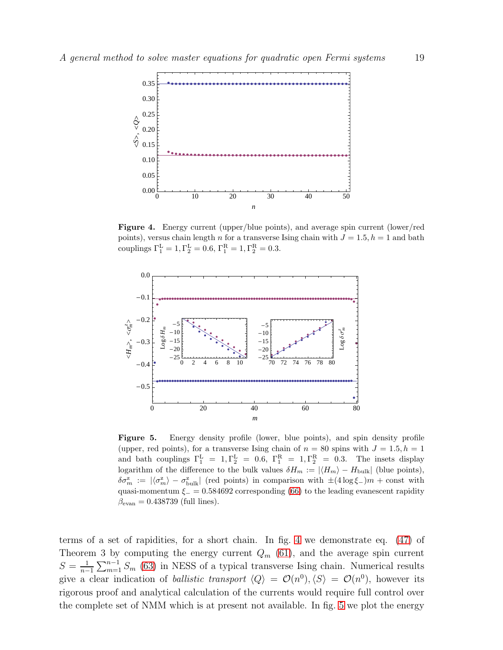

<span id="page-18-0"></span>Figure 4. Energy current (upper/blue points), and average spin current (lower/red points), versus chain length n for a transverse Ising chain with  $J = 1.5, h = 1$  and bath couplings  $\Gamma_1^{\text{L}} = 1, \Gamma_2^{\text{L}} = 0.6, \Gamma_1^{\text{R}} = 1, \Gamma_2^{\text{R}} = 0.3.$ 



<span id="page-18-1"></span>Figure 5. Energy density profile (lower, blue points), and spin density profile (upper, red points), for a transverse Ising chain of  $n = 80$  spins with  $J = 1.5, h = 1$ and bath couplings  $\Gamma_1^L = 1, \Gamma_2^L = 0.6, \Gamma_1^R = 1, \Gamma_2^R = 0.3.$  The insets display logarithm of the difference to the bulk values  $\delta H_m := |\langle H_m \rangle - H_{\text{bulk}}|$  (blue points),  $\delta\sigma_m^z := |\langle \sigma_m^z \rangle - \sigma_{\text{bulk}}^z|$  (red points) in comparison with  $\pm (4\log \xi -)m + \text{const}$  with quasi-momentum  $\xi = 0.584692$  corresponding [\(66\)](#page-12-2) to the leading evanescent rapidity  $\beta_{\text{evan}} = 0.438739$  (full lines).

terms of a set of rapidities, for a short chain. In fig. [4](#page-18-0) we demonstrate eq. [\(47\)](#page-9-1) of Theorem 3 by computing the energy current  $Q_m$  [\(61\)](#page-11-2), and the average spin current  $S=\frac{1}{n-1}$  $\frac{1}{n-1} \sum_{m=1}^{n-1} S_m$  [\(63\)](#page-12-5) in NESS of a typical transverse Ising chain. Numerical results give a clear indication of *ballistic transport*  $\langle Q \rangle = \mathcal{O}(n^0), \langle S \rangle = \mathcal{O}(n^0)$ , however its rigorous proof and analytical calculation of the currents would require full control over the complete set of NMM which is at present not available. In fig. [5](#page-18-1) we plot the energy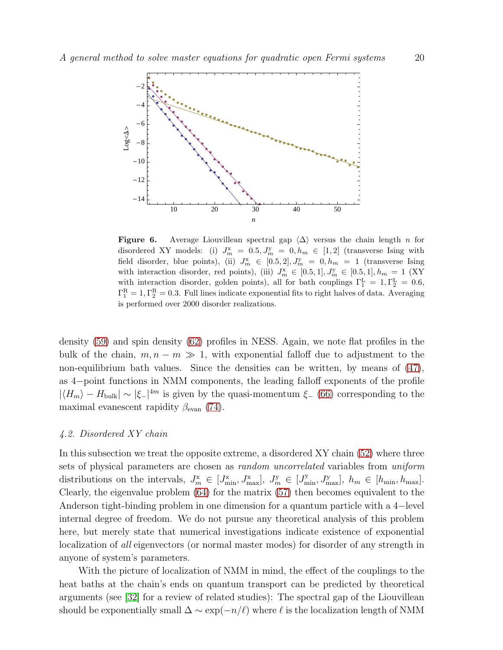

<span id="page-19-1"></span>**Figure 6.** Average Liouvillean spectral gap  $\langle \Delta \rangle$  versus the chain length n for disordered XY models: (i)  $J_m^x = 0.5, J_m^y = 0, h_m \in [1, 2]$  (transverse Ising with field disorder, blue points), (ii)  $J_m^{\mathbf{x}} \in [0.5, 2], J_m^{\mathbf{y}} = 0, h_m = 1$  (transverse Ising with interaction disorder, red points), (iii)  $J_m^x \in [0.5, 1], J_m^y \in [0.5, 1], h_m = 1$  (XY with interaction disorder, golden points), all for bath couplings  $\Gamma_1^{\text{L}} = 1, \Gamma_2^{\text{L}} = 0.6$ ,  $\Gamma_1^{\rm R} = 1, \Gamma_2^{\rm R} = 0.3$ . Full lines indicate exponential fits to right halves of data. Averaging is performed over 2000 disorder realizations.

density [\(59\)](#page-11-3) and spin density [\(62\)](#page-12-6) profiles in NESS. Again, we note flat profiles in the bulk of the chain,  $m, n - m \gg 1$ , with exponential falloff due to adjustment to the non-equilibrium bath values. Since the densities can be written, by means of [\(47\)](#page-9-1), as 4−point functions in NMM components, the leading falloff exponents of the profile  $|\langle H_m \rangle - H_{\text{bulk}}| \sim |\xi_-|^{4m}$  is given by the quasi-momentum  $\xi_-$  [\(66\)](#page-12-2) corresponding to the maximal evanescent rapidity  $\beta_{\text{evan}}$  [\(74\)](#page-15-0).

#### <span id="page-19-0"></span>4.2. Disordered XY chain

In this subsection we treat the opposite extreme, a disordered XY chain [\(52\)](#page-10-1) where three sets of physical parameters are chosen as random uncorrelated variables from uniform distributions on the intervals,  $J_m^{\mathbf{x}} \in [J_{\min}^{\mathbf{x}}, J_{\max}^{\mathbf{x}}], J_m^{\mathbf{y}} \in [J_{\min}^{\mathbf{y}}, J_{\max}^{\mathbf{y}}], h_m \in [h_{\min}, h_{\max}].$ Clearly, the eigenvalue problem [\(64\)](#page-12-3) for the matrix [\(57\)](#page-11-0) then becomes equivalent to the Anderson tight-binding problem in one dimension for a quantum particle with a 4−level internal degree of freedom. We do not pursue any theoretical analysis of this problem here, but merely state that numerical investigations indicate existence of exponential localization of all eigenvectors (or normal master modes) for disorder of any strength in anyone of system's parameters.

With the picture of localization of NMM in mind, the effect of the couplings to the heat baths at the chain's ends on quantum transport can be predicted by theoretical arguments (see [\[32\]](#page-23-12) for a review of related studies): The spectral gap of the Liouvillean should be exponentially small  $\Delta \sim \exp(-n/\ell)$  where  $\ell$  is the localization length of NMM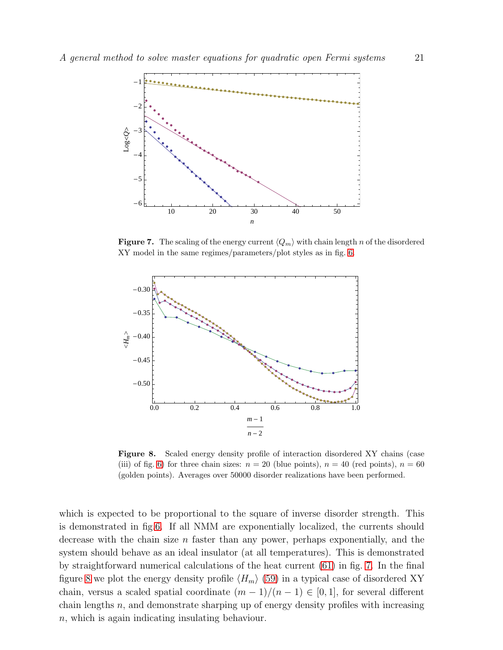

<span id="page-20-0"></span>**Figure 7.** The scaling of the energy current  $\langle Q_m \rangle$  with chain length n of the disordered XY model in the same regimes/parameters/plot styles as in fig. [6.](#page-19-1)



<span id="page-20-1"></span>Figure 8. Scaled energy density profile of interaction disordered XY chains (case (iii) of fig. [6\)](#page-19-1) for three chain sizes:  $n = 20$  (blue points),  $n = 40$  (red points),  $n = 60$ (golden points). Averages over 50000 disorder realizations have been performed.

which is expected to be proportional to the square of inverse disorder strength. This is demonstrated in fig[.6.](#page-19-1) If all NMM are exponentially localized, the currents should decrease with the chain size n faster than any power, perhaps exponentially, and the system should behave as an ideal insulator (at all temperatures). This is demonstrated by straightforward numerical calculations of the heat current [\(61\)](#page-11-2) in fig. [7.](#page-20-0) In the final figure [8](#page-20-1) we plot the energy density profile  $\langle H_m \rangle$  [\(59\)](#page-11-3) in a typical case of disordered XY chain, versus a scaled spatial coordinate  $(m-1)/(n-1) \in [0,1]$ , for several different chain lengths  $n$ , and demonstrate sharping up of energy density profiles with increasing n, which is again indicating insulating behaviour.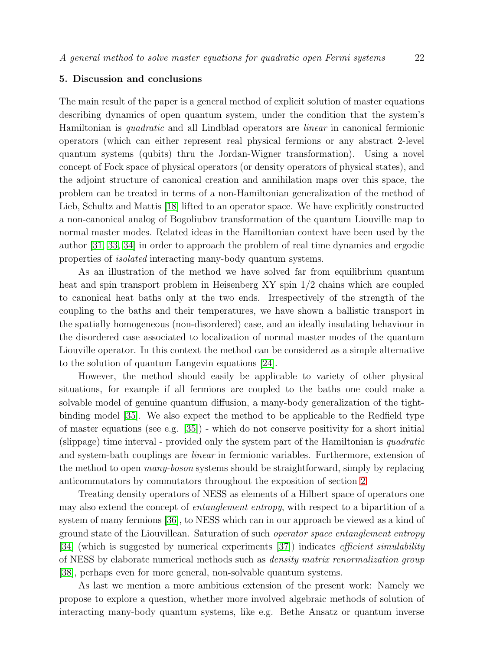# <span id="page-21-0"></span>5. Discussion and conclusions

The main result of the paper is a general method of explicit solution of master equations describing dynamics of open quantum system, under the condition that the system's Hamiltonian is quadratic and all Lindblad operators are linear in canonical fermionic operators (which can either represent real physical fermions or any abstract 2-level quantum systems (qubits) thru the Jordan-Wigner transformation). Using a novel concept of Fock space of physical operators (or density operators of physical states), and the adjoint structure of canonical creation and annihilation maps over this space, the problem can be treated in terms of a non-Hamiltonian generalization of the method of Lieb, Schultz and Mattis [\[18\]](#page-22-17) lifted to an operator space. We have explicitly constructed a non-canonical analog of Bogoliubov transformation of the quantum Liouville map to normal master modes. Related ideas in the Hamiltonian context have been used by the author [\[31,](#page-23-11) [33,](#page-23-13) [34\]](#page-23-14) in order to approach the problem of real time dynamics and ergodic properties of isolated interacting many-body quantum systems.

As an illustration of the method we have solved far from equilibrium quantum heat and spin transport problem in Heisenberg XY spin 1/2 chains which are coupled to canonical heat baths only at the two ends. Irrespectively of the strength of the coupling to the baths and their temperatures, we have shown a ballistic transport in the spatially homogeneous (non-disordered) case, and an ideally insulating behaviour in the disordered case associated to localization of normal master modes of the quantum Liouville operator. In this context the method can be considered as a simple alternative to the solution of quantum Langevin equations [\[24\]](#page-23-4).

However, the method should easily be applicable to variety of other physical situations, for example if all fermions are coupled to the baths one could make a solvable model of genuine quantum diffusion, a many-body generalization of the tightbinding model [\[35\]](#page-23-15). We also expect the method to be applicable to the Redfield type of master equations (see e.g. [\[35\]](#page-23-15)) - which do not conserve positivity for a short initial (slippage) time interval - provided only the system part of the Hamiltonian is quadratic and system-bath couplings are linear in fermionic variables. Furthermore, extension of the method to open many-boson systems should be straightforward, simply by replacing anticommutators by commutators throughout the exposition of section [2.](#page-2-0)

Treating density operators of NESS as elements of a Hilbert space of operators one may also extend the concept of *entanglement entropy*, with respect to a bipartition of a system of many fermions [\[36\]](#page-23-16), to NESS which can in our approach be viewed as a kind of ground state of the Liouvillean. Saturation of such operator space entanglement entropy [\[34\]](#page-23-14) (which is suggested by numerical experiments [\[37\]](#page-23-17)) indicates *efficient simulability* of NESS by elaborate numerical methods such as density matrix renormalization group [\[38\]](#page-23-18), perhaps even for more general, non-solvable quantum systems.

As last we mention a more ambitious extension of the present work: Namely we propose to explore a question, whether more involved algebraic methods of solution of interacting many-body quantum systems, like e.g. Bethe Ansatz or quantum inverse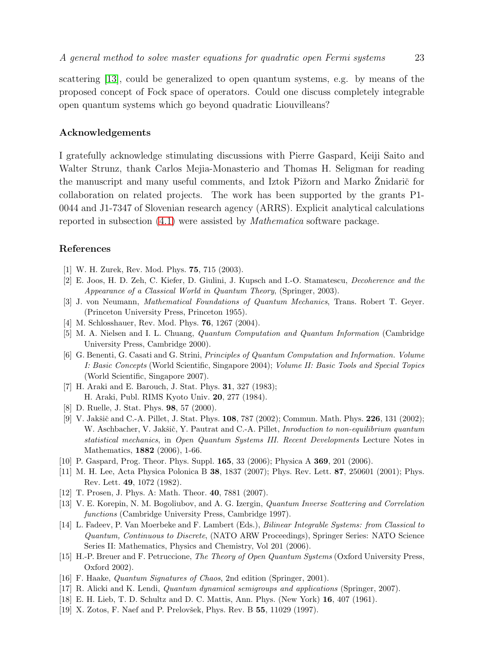scattering [\[13\]](#page-22-12), could be generalized to open quantum systems, e.g. by means of the proposed concept of Fock space of operators. Could one discuss completely integrable open quantum systems which go beyond quadratic Liouvilleans?

# Acknowledgements

I gratefully acknowledge stimulating discussions with Pierre Gaspard, Keiji Saito and Walter Strunz, thank Carlos Mejia-Monasterio and Thomas H. Seligman for reading the manuscript and many useful comments, and Iztok Pižorn and Marko Znidarič for collaboration on related projects. The work has been supported by the grants P1- 0044 and J1-7347 of Slovenian research agency (ARRS). Explicit analytical calculations reported in subsection [\(4.1\)](#page-12-0) were assisted by Mathematica software package.

#### <span id="page-22-0"></span>References

- <span id="page-22-1"></span>[1] W. H. Zurek, Rev. Mod. Phys. 75, 715 (2003).
- <span id="page-22-2"></span>[2] E. Joos, H. D. Zeh, C. Kiefer, D. Giulini, J. Kupsch and I.-O. Stamatescu, *Decoherence and the Appearance of a Classical World in Quantum Theory*, (Springer, 2003).
- <span id="page-22-3"></span>[3] J. von Neumann, *Mathematical Foundations of Quantum Mechanics*, Trans. Robert T. Geyer. (Princeton University Press, Princeton 1955).
- <span id="page-22-4"></span>[4] M. Schlosshauer, Rev. Mod. Phys. 76, 1267 (2004).
- <span id="page-22-5"></span>[5] M. A. Nielsen and I. L. Chuang, *Quantum Computation and Quantum Information* (Cambridge University Press, Cambridge 2000).
- [6] G. Benenti, G. Casati and G. Strini, *Principles of Quantum Computation and Information. Volume I: Basic Concepts* (World Scientific, Singapore 2004); *Volume II: Basic Tools and Special Topics* (World Scientific, Singapore 2007).
- <span id="page-22-7"></span><span id="page-22-6"></span>[7] H. Araki and E. Barouch, J. Stat. Phys. 31, 327 (1983); H. Araki, Publ. RIMS Kyoto Univ. 20, 277 (1984).
- <span id="page-22-8"></span>[8] D. Ruelle, J. Stat. Phys. 98, 57 (2000).
- [9] V. Jakšič and C.-A. Pillet, J. Stat. Phys. **108**, 787 (2002); Commun. Math. Phys. **226**, 131 (2002); W. Aschbacher, V. Jakšič, Y. Pautrat and C.-A. Pillet, *Inroduction to non-equilibrium quantum statistical mechanics*, in *Open Quantum Systems III. Recent Developments* Lecture Notes in Mathematics, 1882 (2006), 1-66.
- <span id="page-22-10"></span><span id="page-22-9"></span>[10] P. Gaspard, Prog. Theor. Phys. Suppl. 165, 33 (2006); Physica A 369, 201 (2006).
- [11] M. H. Lee, Acta Physica Polonica B 38, 1837 (2007); Phys. Rev. Lett. 87, 250601 (2001); Phys. Rev. Lett. 49, 1072 (1982).
- <span id="page-22-12"></span><span id="page-22-11"></span>[12] T. Prosen, J. Phys. A: Math. Theor. 40, 7881 (2007).
- [13] V. E. Korepin, N. M. Bogoliubov, and A. G. Izergin, *Quantum Inverse Scattering and Correlation functions* (Cambridge University Press, Cambridge 1997).
- <span id="page-22-13"></span>[14] L. Fadeev, P. Van Moerbeke and F. Lambert (Eds.), *Bilinear Integrable Systems: from Classical to Quantum, Continuous to Discrete*, (NATO ARW Proceedings), Springer Series: NATO Science Series II: Mathematics, Physics and Chemistry, Vol 201 (2006).
- <span id="page-22-14"></span>[15] H.-P. Breuer and F. Petruccione, *The Theory of Open Quantum Systems* (Oxford University Press, Oxford 2002).
- <span id="page-22-16"></span><span id="page-22-15"></span>[16] F. Haake, *Quantum Signatures of Chaos*, 2nd edition (Springer, 2001).
- <span id="page-22-17"></span>[17] R. Alicki and K. Lendi, *Quantum dynamical semigroups and applications* (Springer, 2007).
- <span id="page-22-18"></span>[18] E. H. Lieb, T. D. Schultz and D. C. Mattis, Ann. Phys. (New York) 16, 407 (1961).
- [19] X. Zotos, F. Naef and P. Prelovšek, Phys. Rev. B 55, 11029 (1997).